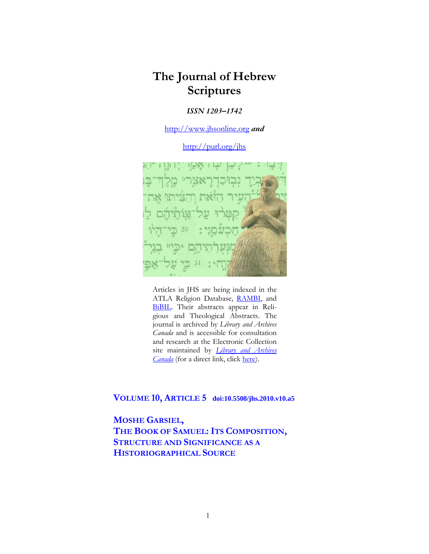# **The Journal of Hebrew Scriptures**

## *ISSN 1203–1542*

[http://www.jhsonline.org](http://www.jhsonline.org/) *and*

<http://purl.org/jhs>



Articles in JHS are being indexed in the ATLA Religion Database, [RAMBI,](http://jnul.huji.ac.il/rambi/) and [BiBIL.](https://wwwdbunil.unil.ch/bibil/bi/en/bibilhome.html) Their abstracts appear in Religious and Theological Abstracts. The journal is archived by *Library and Archives Canada* and is accessible for consultation and research at the Electronic Collection site maintained by *[Library and Archives](http://collectionscanada.ca/electroniccollection/003008-200-e.html)  [Canada](http://collectionscanada.ca/electroniccollection/003008-200-e.html)* (for a direct link, click [here\)](http://epe.lac-bac.gc.ca/100/201/300/journal_hebrew/index.html).

## **VOLUME 10, ARTICLE 5 doi:10.5508/jhs.2010.v10.a5**

**MOSHE GARSIEL,** THE BOOK OF SAMUEL: ITS COMPOSITION, **STRUCTURE AND SIGNIFICANCE AS A HISTORIOGRAPHICAL SOURCE**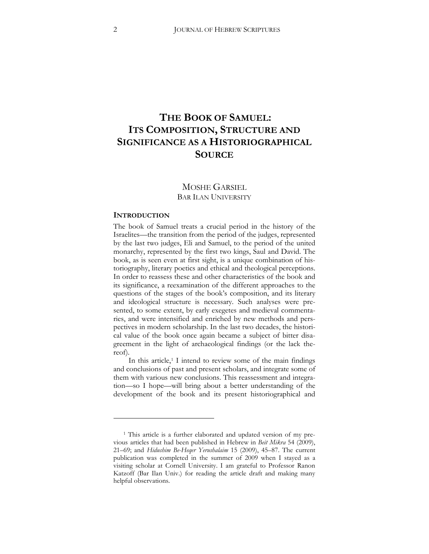# **THE BOOK OF SAMUEL: ITS COMPOSITION, STRUCTURE AND SIGNIFICANCE AS A HISTORIOGRAPHICAL SOURCE**

## MOSHE GARSIEL BAR ILAN UNIVERSITY

#### **INTRODUCTION**

 $\overline{a}$ 

The book of Samuel treats a crucial period in the history of the Israelites—the transition from the period of the judges, represented by the last two judges, Eli and Samuel, to the period of the united monarchy, represented by the first two kings, Saul and David. The book, as is seen even at first sight, is a unique combination of historiography, literary poetics and ethical and theological perceptions. In order to reassess these and other characteristics of the book and its significance, a reexamination of the different approaches to the questions of the stages of the book's composition, and its literary and ideological structure is necessary. Such analyses were presented, to some extent, by early exegetes and medieval commentaries, and were intensified and enriched by new methods and perspectives in modern scholarship. In the last two decades, the historical value of the book once again became a subject of bitter disagreement in the light of archaeological findings (or the lack thereof).

In this article, $1$  I intend to review some of the main findings and conclusions of past and present scholars, and integrate some of them with various new conclusions. This reassessment and integration—so I hope—will bring about a better understanding of the development of the book and its present historiographical and

<span id="page-1-0"></span><sup>&</sup>lt;sup>1</sup> This article is a further elaborated and updated version of my previous articles that had been published in Hebrew in *Beit Mikra* 54 (2009), 21–69; and *Hidushim Be-Heqer Yerushalaim* 15 (2009), 45–87. The current publication was completed in the summer of 2009 when I stayed as a visiting scholar at Cornell University. I am grateful to Professor Ranon Katzoff (Bar Ilan Univ.) for reading the article draft and making many helpful observations.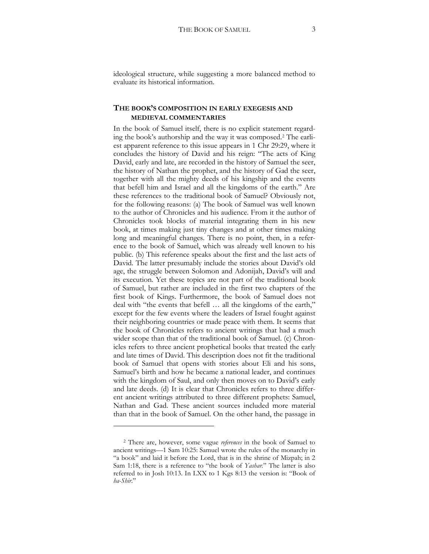ideological structure, while suggesting a more balanced method to evaluate its historical information.

## **THE BOOK'S COMPOSITION IN EARLY EXEGESIS AND MEDIEVAL COMMENTARIES**

In the book of Samuel itself, there is no explicit statement regarding the book's authorship and the way it was composed.[2](#page-2-0) The earliest apparent reference to this issue appears in 1 Chr 29:29, where it concludes the history of David and his reign: "The acts of King David, early and late, are recorded in the history of Samuel the seer, the history of Nathan the prophet, and the history of Gad the seer, together with all the mighty deeds of his kingship and the events that befell him and Israel and all the kingdoms of the earth." Are these references to the traditional book of Samuel? Obviously not, for the following reasons: (a) The book of Samuel was well known to the author of Chronicles and his audience. From it the author of Chronicles took blocks of material integrating them in his new book, at times making just tiny changes and at other times making long and meaningful changes. There is no point, then, in a reference to the book of Samuel, which was already well known to his public. (b) This reference speaks about the first and the last acts of David. The latter presumably include the stories about David's old age, the struggle between Solomon and Adonijah, David's will and its execution. Yet these topics are not part of the traditional book of Samuel, but rather are included in the first two chapters of the first book of Kings. Furthermore, the book of Samuel does not deal with "the events that befell … all the kingdoms of the earth," except for the few events where the leaders of Israel fought against their neighboring countries or made peace with them. It seems that the book of Chronicles refers to ancient writings that had a much wider scope than that of the traditional book of Samuel. (c) Chronicles refers to three ancient prophetical books that treated the early and late times of David. This description does not fit the traditional book of Samuel that opens with stories about Eli and his sons, Samuel's birth and how he became a national leader, and continues with the kingdom of Saul, and only then moves on to David's early and late deeds. (d) It is clear that Chronicles refers to three different ancient writings attributed to three different prophets: Samuel, Nathan and Gad. These ancient sources included more material than that in the book of Samuel. On the other hand, the passage in

<span id="page-2-0"></span><sup>2</sup> There are, however, some vague *references* in the book of Samuel to ancient writings—1 Sam 10:25: Samuel wrote the rules of the monarchy in "a book" and laid it before the Lord, that is in the shrine of Mizpah; in 2 Sam 1:18, there is a reference to "the book of *Yashar.*" The latter is also referred to in Josh 10:13. In LXX to 1 Kgs 8:13 the version is: "Book of *ha-Shir*."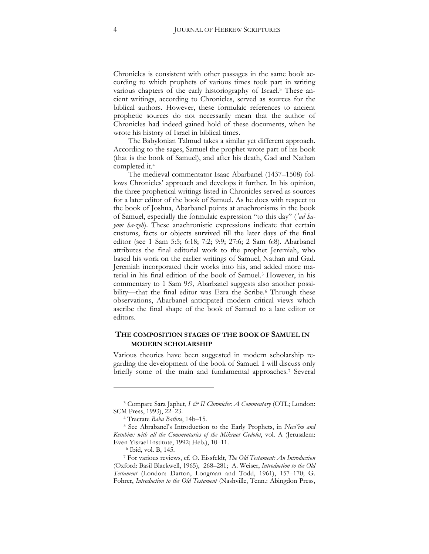Chronicles is consistent with other passages in the same book according to which prophets of various times took part in writing various chapters of the early historiography of Israel.[3](#page-3-0) These ancient writings, according to Chronicles, served as sources for the biblical authors. However, these formulaic references to ancient prophetic sources do not necessarily mean that the author of Chronicles had indeed gained hold of these documents, when he wrote his history of Israel in biblical times.

The Babylonian Talmud takes a similar yet different approach. According to the sages, Samuel the prophet wrote part of his book (that is the book of Samuel), and after his death, Gad and Nathan completed it.[4](#page-3-1)

The medieval commentator Isaac Abarbanel (1437–1508) follows Chronicles' approach and develops it further. In his opinion, the three prophetical writings listed in Chronicles served as sources for a later editor of the book of Samuel. As he does with respect to the book of Joshua, Abarbanel points at anachronisms in the book of Samuel, especially the formulaic expression "to this day" (*'ad hayom ha-zeh*). These anachronistic expressions indicate that certain customs, facts or objects survived till the later days of the final editor (see 1 Sam 5:5; 6:18; 7:2; 9:9; 27:6; 2 Sam 6:8). Abarbanel attributes the final editorial work to the prophet Jeremiah, who based his work on the earlier writings of Samuel, Nathan and Gad. Jeremiah incorporated their works into his, and added more material in his final edition of the book of Samuel[.5](#page-3-2) However, in his commentary to 1 Sam 9:9, Abarbanel suggests also another possi-bility—that the final editor was Ezra the Scribe.<sup>[6](#page-3-3)</sup> Through these observations, Abarbanel anticipated modern critical views which ascribe the final shape of the book of Samuel to a late editor or editors.

## **THE COMPOSITION STAGES OF THE BOOK OF SAMUEL IN MODERN SCHOLARSHIP**

Various theories have been suggested in modern scholarship regarding the development of the book of Samuel. I will discuss only briefly some of the main and fundamental approaches.<sup>[7](#page-3-4)</sup> Several

<span id="page-3-0"></span><sup>&</sup>lt;sup>3</sup> Compare Sara Japhet, *I & II Chronicles: A Commentary* (OTL; London: SCM Press, 1993), 22–23.

<sup>4</sup> Tractate *Baba Bathra*, 14b–15.

<span id="page-3-2"></span><span id="page-3-1"></span><sup>5</sup> See Abrabanel's Introduction to the Early Prophets, in *Nevi'im and Ketubim: with all the Commentaries of the Mikraot Gedolot*, vol. A (Jerusalem: Even Yisrael Institute, 1992; Heb.), 10–11.<br><sup>6</sup> Ibid, vol. B, 145.

<span id="page-3-4"></span><span id="page-3-3"></span><sup>7</sup> For various reviews, cf. O. Eissfeldt, *The Old Testament: An Introduction* (Oxford: Basil Blackwell, 1965), 268-281; A. Weiser, *Introduction to the Old* Testament (London: Darton, Longman and Todd, 1961), 157-170; G. Fohrer, *Introduction to the Old Testament* (Nashville, Tenn.: Abingdon Press,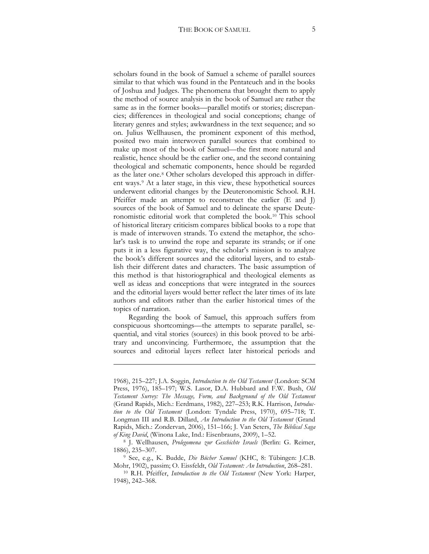scholars found in the book of Samuel a scheme of parallel sources similar to that which was found in the Pentateuch and in the books of Joshua and Judges. The phenomena that brought them to apply the method of source analysis in the book of Samuel are rather the same as in the former books—parallel motifs or stories; discrepancies; differences in theological and social conceptions; change of literary genres and styles; awkwardness in the text sequence; and so on. Julius Wellhausen, the prominent exponent of this method, posited two main interwoven parallel sources that combined to make up most of the book of Samuel—the first more natural and realistic, hence should be the earlier one, and the second containing theological and schematic components, hence should be regarded as the later one.[8](#page-4-0) Other scholars developed this approach in different ways.[9](#page-4-1) At a later stage, in this view, these hypothetical sources underwent editorial changes by the Deuteronomistic School. R.H. Pfeiffer made an attempt to reconstruct the earlier (E and J) sources of the book of Samuel and to delineate the sparse Deuteronomistic editorial work that completed the book.[10](#page-4-2) This school of historical literary criticism compares biblical books to a rope that is made of interwoven strands. To extend the metaphor, the scholar's task is to unwind the rope and separate its strands; or if one puts it in a less figurative way, the scholar's mission is to analyze the book's different sources and the editorial layers, and to establish their different dates and characters. The basic assumption of this method is that historiographical and theological elements as well as ideas and conceptions that were integrated in the sources and the editorial layers would better reflect the later times of its late authors and editors rather than the earlier historical times of the topics of narration.

Regarding the book of Samuel, this approach suffers from conspicuous shortcomings—the attempts to separate parallel, sequential, and vital stories (sources) in this book proved to be arbitrary and unconvincing. Furthermore, the assumption that the sources and editorial layers reflect later historical periods and

<u>.</u>

<sup>1968), 215-227;</sup> J.A. Soggin, *Introduction to the Old Testament* (London: SCM Press, 1976), 185-197; W.S. Lasor, D.A. Hubbard and F.W. Bush, *Old Testament Survey: The Message, Form, and Background of the Old Testament* (Grand Rapids, Mich.: Eerdmans, 1982), 227-253; R.K. Harrison, *Introduc*tion to the Old Testament (London: Tyndale Press, 1970), 695-718; T. Longman III and R.B. Dillard, *An Introduction to the Old Testament* (Grand Rapids, Mich.: Zondervan, 2006), 151-166; J. Van Seters, *The Biblical Saga of King David*, (Winona Lake, Ind.: Eisenbrauns, 2009), 1–52.

<span id="page-4-0"></span><sup>8</sup> J. Wellhausen, *Prolegomena zur Geschichte Israels* (Berlin: G. Reimer, 1886), 235–307.

<span id="page-4-1"></span><sup>9</sup> See, e.g., K. Budde, *Die Bücher Samuel* (KHC, 8: Tübingen: J.C.B. Mohr, 1902), passim; O. Eissfeldt, *Old Testament: An Introduction*, 268–281.

<span id="page-4-2"></span><sup>10</sup> R.H. Pfeiffer, *Introduction to the Old Testament* (New York: Harper, 1948), 242–368.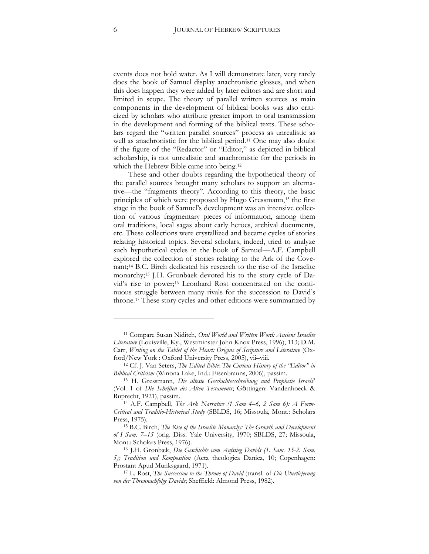events does not hold water. As I will demonstrate later, very rarely does the book of Samuel display anachronistic glosses, and when this does happen they were added by later editors and are short and limited in scope. The theory of parallel written sources as main components in the development of biblical books was also criticized by scholars who attribute greater import to oral transmission in the development and forming of the biblical texts. These scholars regard the "written parallel sources" process as unrealistic as well as anachronistic for the biblical period.[11](#page-5-0) One may also doubt if the figure of the "Redactor" or "Editor," as depicted in biblical scholarship, is not unrealistic and anachronistic for the periods in which the Hebrew Bible came into being.<sup>[12](#page-5-1)</sup>

These and other doubts regarding the hypothetical theory of the parallel sources brought many scholars to support an alternative—the "fragments theory". According to this theory, the basic principles of which were proposed by Hugo Gressmann,<sup>[13](#page-5-2)</sup> the first stage in the book of Samuel's development was an intensive collection of various fragmentary pieces of information, among them oral traditions, local sagas about early heroes, archival documents, etc. These collections were crystallized and became cycles of stories relating historical topics. Several scholars, indeed, tried to analyze such hypothetical cycles in the book of Samuel—A.F. Campbell explored the collection of stories relating to the Ark of the Cove-nant;<sup>[14](#page-5-3)</sup> B.C. Birch dedicated his research to the rise of the Israelite monarchy;<sup>15</sup> J.H. Gronbaek devoted his to the story cycle of Da-vid's rise to power;<sup>[16](#page-5-5)</sup> Leonhard Rost concentrated on the continuous struggle between many rivals for the succession to David's throne.[17](#page-5-6) These story cycles and other editions were summarized by

<span id="page-5-0"></span><sup>11</sup> Compare Susan Niditch, *Oral World and Written Word: Ancient Israelite*  Literature (Louisville, Ky., Westminster John Knox Press, 1996), 113; D.M. Carr, *Writing on the Tablet of the Heart: Origins of Scripture and Literature* (Oxford/New York : Oxford University Press, 2005), vii–viii.

<span id="page-5-1"></span><sup>12</sup> Cf. J. Van Seters, *The Edited Bible: The Curious History of the "Editor" in Biblical Criticism* (Winona Lake, Ind.: Eisenbrauns, 2006), passim.

<span id="page-5-2"></span><sup>13</sup> H. Gressmann, *Die älteste Geschichtesschreibung und Prophetie Israels*<sup>2</sup> (Vol. 1 of *Die Schriften des Alten Testaments*; Göttingen: Vandenhoeck & Ruprecht, 1921), passim.

<span id="page-5-3"></span><sup>14</sup> A.F. Campbell, *The Ark Narrative (1 Sam 4–6, 2 Sam 6): A Form-Critical and Traditio-Historical Study* (SBLDS, 16; Missoula, Mont.: Scholars Press, 1975).

<span id="page-5-4"></span><sup>15</sup> B.C. Birch, *The Rise of the Israelite Monarchy: The Growth and Development*  of I Sam. 7-15 (orig. Diss. Yale University, 1970; SBLDS, 27; Missoula, Mont.: Scholars Press, 1976).

<span id="page-5-5"></span><sup>16</sup> J.H. Grønbæk, *Die Geschichte vom Aufstieg Davids (1. Sam. 15-2. Sam.*  5); Tradition und Komposition (Acta theologica Danica, 10; Copenhagen: Prostant Apud Munksgaard, 1971).

<span id="page-5-6"></span><sup>17</sup> L. Rost, *The Succession to the Throne of David* (transl. of *Die Überlieferung*  von der Thronnachfolge Davids; Sheffield: Almond Press, 1982).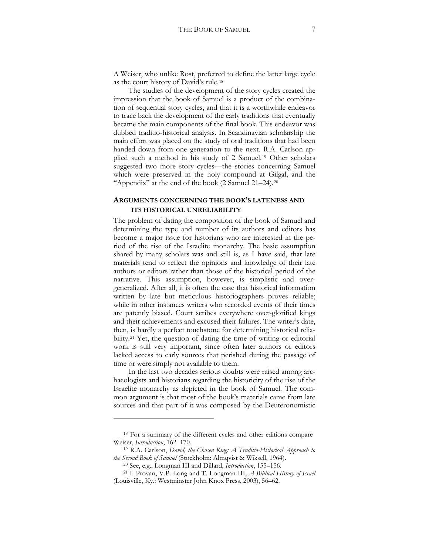A Weiser, who unlike Rost, preferred to define the latter large cycle as the court history of David's rule.[18](#page-6-0)

The studies of the development of the story cycles created the impression that the book of Samuel is a product of the combination of sequential story cycles, and that it is a worthwhile endeavor to trace back the development of the early traditions that eventually became the main components of the final book. This endeavor was dubbed traditio-historical analysis. In Scandinavian scholarship the main effort was placed on the study of oral traditions that had been handed down from one generation to the next. R.A. Carlson applied such a method in his study of 2 Samuel.[19](#page-6-1) Other scholars suggested two more story cycles—the stories concerning Samuel which were preserved in the holy compound at Gilgal, and the "Appendix" at the end of the book (2 Samuel 21–24).[20](#page-6-2)

## **ARGUMENTS CONCERNING THE BOOK'S LATENESS AND ITS HISTORICAL UNRELIABILITY**

The problem of dating the composition of the book of Samuel and determining the type and number of its authors and editors has become a major issue for historians who are interested in the period of the rise of the Israelite monarchy. The basic assumption shared by many scholars was and still is, as I have said, that late materials tend to reflect the opinions and knowledge of their late authors or editors rather than those of the historical period of the narrative. This assumption, however, is simplistic and overgeneralized. After all, it is often the case that historical information written by late but meticulous historiographers proves reliable; while in other instances writers who recorded events of their times are patently biased. Court scribes everywhere over-glorified kings and their achievements and excused their failures. The writer's date, then, is hardly a perfect touchstone for determining historical relia-bility.<sup>[21](#page-6-3)</sup> Yet, the question of dating the time of writing or editorial work is still very important, since often later authors or editors lacked access to early sources that perished during the passage of time or were simply not available to them.

In the last two decades serious doubts were raised among archaeologists and historians regarding the historicity of the rise of the Israelite monarchy as depicted in the book of Samuel. The common argument is that most of the book's materials came from late sources and that part of it was composed by the Deuteronomistic

<span id="page-6-0"></span><sup>18</sup> For a summary of the different cycles and other editions compare Weiser, *Introduction*, 162–170.

<span id="page-6-1"></span><sup>19</sup> R.A. Carlson, *David, the Chosen King: A Traditio-Historical Approach to the Second Book of Samuel* (Stockholm: Almqvist & Wiksell, 1964).

<sup>20</sup> See, e.g., Longman III and Dillard, *Introduction*, 155–156.

<span id="page-6-3"></span><span id="page-6-2"></span><sup>21</sup> I. Provan, V.P. Long and T. Longman III, *A Biblical History of Israel* (Louisville, Ky.: Westminster John Knox Press, 2003), 56–62.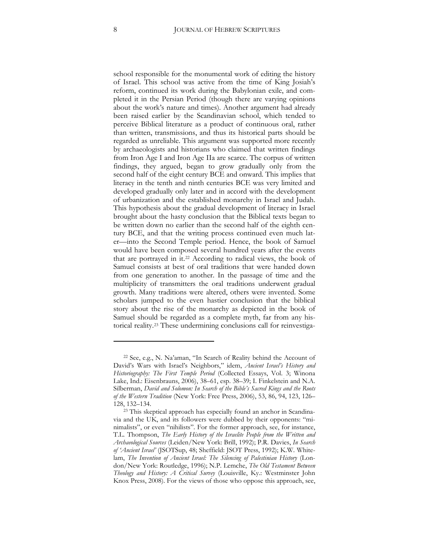school responsible for the monumental work of editing the history of Israel. This school was active from the time of King Josiah's reform, continued its work during the Babylonian exile, and completed it in the Persian Period (though there are varying opinions about the work's nature and times). Another argument had already been raised earlier by the Scandinavian school, which tended to perceive Biblical literature as a product of continuous oral, rather than written, transmissions, and thus its historical parts should be regarded as unreliable. This argument was supported more recently by archaeologists and historians who claimed that written findings from Iron Age I and Iron Age IIa are scarce. The corpus of written findings, they argued, began to grow gradually only from the second half of the eight century BCE and onward. This implies that literacy in the tenth and ninth centuries BCE was very limited and developed gradually only later and in accord with the development of urbanization and the established monarchy in Israel and Judah. This hypothesis about the gradual development of literacy in Israel brought about the hasty conclusion that the Biblical texts began to be written down no earlier than the second half of the eighth century BCE, and that the writing process continued even much later—into the Second Temple period. Hence, the book of Samuel would have been composed several hundred years after the events that are portrayed in it.[22](#page-7-0) According to radical views, the book of Samuel consists at best of oral traditions that were handed down from one generation to another. In the passage of time and the multiplicity of transmitters the oral traditions underwent gradual growth. Many traditions were altered, others were invented. Some scholars jumped to the even hastier conclusion that the biblical story about the rise of the monarchy as depicted in the book of Samuel should be regarded as a complete myth, far from any historical reality.[23](#page-7-1) These undermining conclusions call for reinvestiga-

<span id="page-7-0"></span><sup>22</sup> See, e.g., N. Na'aman, "In Search of Reality behind the Account of David's Wars with Israel's Neighbors," idem, *Ancient Israel's History and*  Historiography: The First Temple Period (Collected Essays, Vol. 3; Winona Lake, Ind.: Eisenbrauns, 2006), 38–61, esp. 38–39; I. Finkelstein and N.A. Silberman, *David and Solomon: In Search of the Bible's Sacred Kings and the Roots of the Western Tradition* (New York: Free Press, 2006), 53, 86, 94, 123, 126– 128, 132–134.

<span id="page-7-1"></span><sup>23</sup> This skeptical approach has especially found an anchor in Scandinavia and the UK, and its followers were dubbed by their opponents: "minimalists", or even "nihilists". For the former approach, see, for instance, T.L. Thompson, *The Early History of the Israelite People from the Written and Archaeological Sources* (Leiden/New York: Brill, 1992)b P.R. Davies, *In Search*  of 'Ancient Israel' (JSOTSup, 48; Sheffield: JSOT Press, 1992); K.W. Whitelam, *The Invention of Ancient Israel: The Silencing of Palestinian History* (London/New York: Routledge, 1996); N.P. Lemche, *The Old Testament Between Theology and History: A Critical Survey* (Louisville, Ky.: Westminster John Knox Press, 2008). For the views of those who oppose this approach, see,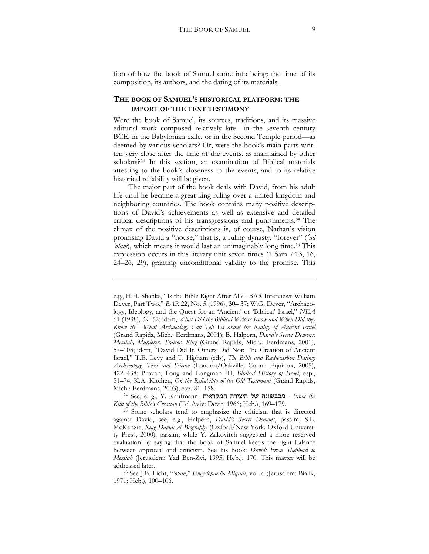tion of how the book of Samuel came into being: the time of its composition, its authors, and the dating of its materials.

## **THE BOOK OF SAMUEL'S HISTORICAL PLATFORM: THE IMPORT OF THE TEXT TESTIMONY**

Were the book of Samuel, its sources, traditions, and its massive editorial work composed relatively late—in the seventh century BCE, in the Babylonian exile, or in the Second Temple period—as deemed by various scholars? Or, were the book's main parts written very close after the time of the events, as maintained by other scholars?[24](#page-8-0) In this section, an examination of Biblical materials attesting to the book's closeness to the events, and to its relative historical reliability will be given.

The major part of the book deals with David, from his adult life until he became a great king ruling over a united kingdom and neighboring countries. The book contains many positive descriptions of David's achievements as well as extensive and detailed critical descriptions of his transgressions and punishments.[25](#page-8-1) The climax of the positive descriptions is, of course, Nathan's vision promising David a "house," that is, a ruling dynasty, "forever" (*'ad 'olam*), which means it would last an unimaginably long time.[26](#page-8-2) This expression occurs in this literary unit seven times (1 Sam 7:13, 16, 24–26, 29), granting unconditional validity to the promise. This

1

e.g., H.H. Shanks, "Is the Bible Right After All?– BAR Interviews William Dever, Part Two," *BAR 22*, No. 5 (1996), 30-37; W.G. Dever, "Archaeology, Ideology, and the Quest for an 'Ancient' or 'Biblical' Israel," *NEA* 61 (1998), 39–52; idem, *What Did the Biblical Writers Know and When Did they Know it?—What Archaeology Can Tell Us about the Reality of Ancient Israel*  (Grand Rapids, Mich.: Eerdmans, 2001); B. Halpern, *David's Secret Demons: Messiah, Murderer, Traitor, King* (Grand Rapids, Mich.: Eerdmans, 2001), 57-103; idem, "David Did It, Others Did Not: The Creation of Ancient Israel," T.E. Levy and T. Higham (eds), *The Bible and Radiocarbon Dating: Archaeology, Text and Science* (London/Oakville, Conn.: Equinox, 2005), 422-438; Provan, Long and Longman III, *Biblical History of Israel*, esp., 51-74; K.A. Kitchen, *On the Reliability of the Old Testament* (Grand Rapids, Mich.: Eerdmans, 2003), esp. 81–158.

<span id="page-8-0"></span><sup>&</sup>lt;sup>24</sup> See, e. g., Y. Kaufmann, בובשונה של היצירה בחקראית *- From the Kiln of the Bible's Creation* (Tel Aviv: Devir, 1966; Heb.), 169–179.

<span id="page-8-1"></span><sup>25</sup> Some scholars tend to emphasize the criticism that is directed against David, see, e.g., Halpern, *David's Secret Demons*, passim; S.L. McKenzie, *King David: A Biography* (Oxford/New York: Oxford University Press, 2000), passim; while Y. Zakovitch suggested a more reserved evaluation by saying that the book of Samuel keeps the right balance between approval and criticism. See his book: *David: From Shepherd to Messiah* (Jerusalem: Yad Ben-Zvi, 1995; Heb.), 170. This matter will be addressed later.

<span id="page-8-2"></span><sup>26</sup> See J.B. Licht, "*'olam*," *Encyclopaedia Miqrait*, vol. 6 (Jerusalem: Bialik, 1971; Heb.), 100–106.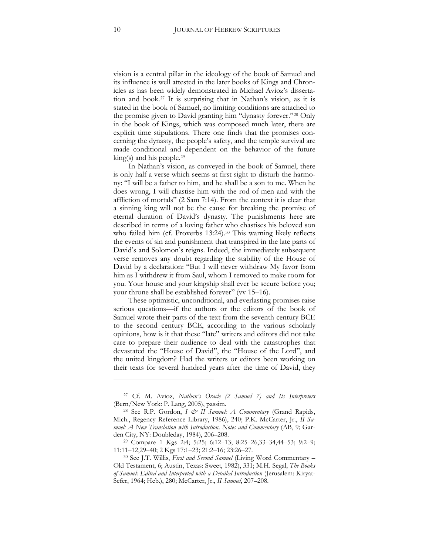vision is a central pillar in the ideology of the book of Samuel and its influence is well attested in the later books of Kings and Chronicles as has been widely demonstrated in Michael Avioz's dissertation and book.[27](#page-9-0) It is surprising that in Nathan's vision, as it is stated in the book of Samuel, no limiting conditions are attached to the promise given to David granting him "dynasty forever."[28](#page-9-1) Only in the book of Kings, which was composed much later, there are explicit time stipulations. There one finds that the promises concerning the dynasty, the people's safety, and the temple survival are made conditional and dependent on the behavior of the future king(s) and his people.[29](#page-9-2)

In Nathan's vision, as conveyed in the book of Samuel, there is only half a verse which seems at first sight to disturb the harmony: "I will be a father to him, and he shall be a son to me. When he does wrong, I will chastise him with the rod of men and with the affliction of mortals" (2 Sam 7:14). From the context it is clear that a sinning king will not be the cause for breaking the promise of eternal duration of David's dynasty. The punishments here are described in terms of a loving father who chastises his beloved son who failed him (cf. Proverbs 13:24).<sup>[30](#page-9-3)</sup> This warning likely reflects the events of sin and punishment that transpired in the late parts of David's and Solomon's reigns. Indeed, the immediately subsequent verse removes any doubt regarding the stability of the House of David by a declaration: "But I will never withdraw My favor from him as I withdrew it from Saul, whom I removed to make room for you. Your house and your kingship shall ever be secure before you; your throne shall be established forever" (vv 15–16).

These optimistic, unconditional, and everlasting promises raise serious questions—if the authors or the editors of the book of Samuel wrote their parts of the text from the seventh century BCE to the second century BCE, according to the various scholarly opinions, how is it that these "late" writers and editors did not take care to prepare their audience to deal with the catastrophes that devastated the "House of David", the "House of the Lord", and the united kingdom? Had the writers or editors been working on their texts for several hundred years after the time of David, they

<span id="page-9-0"></span><sup>27</sup> Cf. M. Avioz, *Nathan's Oracle (2 Samuel 7) and Its Interpreters* (Bern/New York: P. Lang, 2005), passim.

<span id="page-9-1"></span><sup>28</sup> See R.P. Gordon, *I & II Samuel: A Commentary* (Grand Rapids, Mich., Regency Reference Library, 1986), 240; P.K. McCarter, Jr., *II Samuel: A New Translation with Introduction, Notes and Commentary* (AB, 9; Garden City, NY: Doubleday, 1984), 206–208.

<span id="page-9-2"></span><sup>&</sup>lt;sup>29</sup> Compare 1 Kgs 2:4; 5:25; 6:12–13; 8:25–26,33–34,44–53; 9:2–9; 11:11-12,29-40; 2 Kgs 17:1-23; 21:2-16; 23:26-27.

<span id="page-9-3"></span><sup>30</sup> See J.T. Willis, *First and Second Samuel* (Living Word Commentary – Old Testament, 6; Austin, Texas: Sweet, 1982), 331; M.H. Segal, *The Books of Samuel: Edited and Interpreted with a Detailed Introduction* (Jerusalem: Kiryat-Sefer, 1964; Heb.), 280; McCarter, Jr., *II Samuel*, 207–208.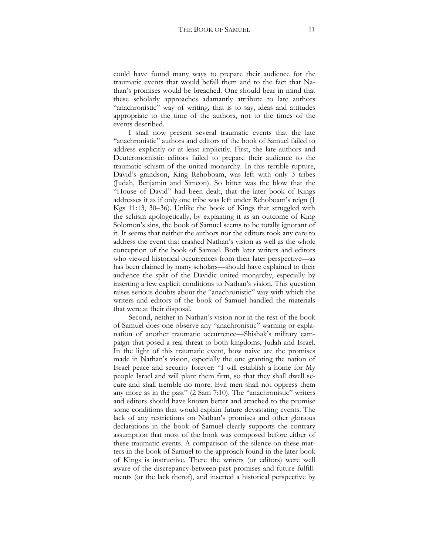could have found many ways to prepare their audience for the traumatic events that would befall them and to the fact that Nathan's promises would be breached. One should bear in mind that these scholarly approaches adamantly attribute to late authors "anachronistic" way of writing, that is to say, ideas and attitudes appropriate to the time of the authors, not to the times of the events described.

I shall now present several traumatic events that the late "anachronistic" authors and editors of the book of Samuel failed to address explicitly or at least implicitly. First, the late authors and Deuteronomistic editors failed to prepare their audience to the traumatic schism of the united monarchy. In this terrible rupture, David's grandson, King Rehoboam, was left with only 3 tribes (Judah, Benjamin and Simeon). So bitter was the blow that the "House of David" had been dealt, that the later book of Kings addresses it as if only one tribe was left under Rehoboam's reign (1 Kgs 11:13, 30–36). Unlike the book of Kings that struggled with the schism apologetically, by explaining it as an outcome of King Solomon's sins, the book of Samuel seems to be totally ignorant of it. It seems that neither the authors nor the editors took any care to address the event that crashed Nathan's vision as well as the whole conception of the book of Samuel. Both later writers and editors who viewed historical occurrences from their later perspective—as has been claimed by many scholars—should have explained to their audience the split of the Davidic united monarchy, especially by inserting a few explicit conditions to Nathan's vision. This question raises serious doubts about the "anachronistic" way with which the writers and editors of the book of Samuel handled the materials that were at their disposal.

Second, neither in Nathan's vision nor in the rest of the book of Samuel does one observe any "anachronistic" warning or explanation of another traumatic occurrence—Shishak's military campaign that posed a real threat to both kingdoms, Judah and Israel. In the light of this traumatic event, how naive are the promises made in Nathan's vision, especially the one granting the nation of Israel peace and security forever: "I will establish a home for My people Israel and will plant them firm, so that they shall dwell secure and shall tremble no more. Evil men shall not oppress them any more as in the past" (2 Sam 7:10). The "anachronistic" writers and editors should have known better and attached to the promise some conditions that would explain future devastating events. The lack of any restrictions on Nathan's promises and other glorious declarations in the book of Samuel clearly supports the contrary assumption that most of the book was composed before either of these traumatic events. A comparison of the silence on these matters in the book of Samuel to the approach found in the later book of Kings is instructive. There the writers (or editors) were well aware of the discrepancy between past promises and future fulfillments (or the lack therof), and inserted a historical perspective by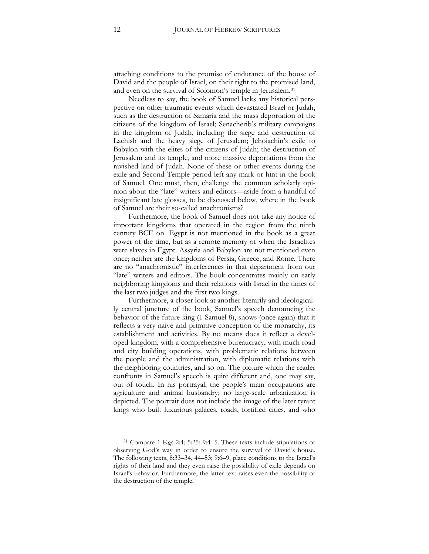attaching conditions to the promise of endurance of the house of David and the people of Israel, on their right to the promised land, and even on the survival of Solomon's temple in Jerusalem.[31](#page-11-0)

Needless to say, the book of Samuel lacks any historical perspective on other traumatic events which devastated Israel or Judah, such as the destruction of Samaria and the mass deportation of the citizens of the kingdom of Israel; Senacherib's military campaigns in the kingdom of Judah, including the siege and destruction of Lachish and the heavy siege of Jerusalem; Jehoiachin's exile to Babylon with the elites of the citizens of Judah; the destruction of Jerusalem and its temple, and more massive deportations from the ravished land of Judah. None of these or other events during the exile and Second Temple period left any mark or hint in the book of Samuel. One must, then, challenge the common scholarly opinion about the "late" writers and editors—aside from a handful of insignificant late glosses, to be discussed below, where in the book of Samuel are their so-called anachronisms?

Furthermore, the book of Samuel does not take any notice of important kingdoms that operated in the region from the ninth century BCE on. Egypt is not mentioned in the book as a great power of the time, but as a remote memory of when the Israelites were slaves in Egypt. Assyria and Babylon are not mentioned even once; neither are the kingdoms of Persia, Greece, and Rome. There are no "anachronistic" interferences in that department from our "late" writers and editors. The book concentrates mainly on early neighboring kingdoms and their relations with Israel in the times of the last two judges and the first two kings.

Furthermore, a closer look at another literarily and ideologically central juncture of the book, Samuel's speech denouncing the behavior of the future king (1 Samuel 8), shows (once again) that it reflects a very naive and primitive conception of the monarchy, its establishment and activities. By no means does it reflect a developed kingdom, with a comprehensive bureaucracy, with much road and city building operations, with problematic relations between the people and the administration, with diplomatic relations with the neighboring countries, and so on. The picture which the reader confronts in Samuel's speech is quite different and, one may say, out of touch. In his portrayal, the people's main occupations are agriculture and animal husbandry; no large-scale urbanization is depicted. The portrait does not include the image of the later tyrant kings who built luxurious palaces, roads, fortified cities, and who

<span id="page-11-0"></span> $31$  Compare 1 Kgs 2:4; 5:25; 9:4–5. These texts include stipulations of observing God's way in order to ensure the survival of David's house. The following texts, 8:33–34, 44–53; 9:6–9, place conditions to the Israel's rights of their land and they even raise the possibility of exile depends on Israel's behavior. Furthermore, the latter text raises even the possibility of the destruction of the temple.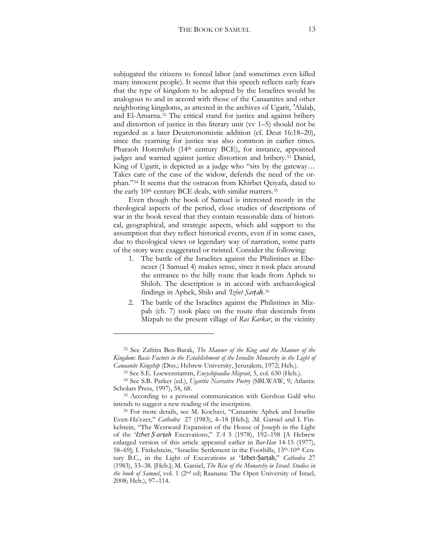subjugated the citizens to forced labor (and sometimes even killed many innocent people). It seems that this speech reflects early fears that the type of kingdom to be adopted by the Israelites would be analogous to and in accord with those of the Canaanites and other neighboring kingdoms, as attested in the archives of Ugarit, 'Alalah, and El-Amarna.[32](#page-12-0) The critical stand for justice and against bribery and distortion of justice in this literary unit (vv 1–5) should not be regarded as a later Deuteronomistic addition (cf. Deut 16:18–20), since the yearning for justice was also common in earlier times. Pharaoh Horemheb (14<sup>th</sup> century BCE), for instance, appointed judges and warned against justice distortion and bribery.[33](#page-12-1) Daniel, King of Ugarit, is depicted as a judge who "sits by the gateway… Takes care of the case of the widow, defends the need of the orphan."[34](#page-12-2) It seems that the ostracon from Khirbet Qeiyafa, dated to the early 10<sup>th</sup> century BCE deals, with similar matters.<sup>35</sup>

Even though the book of Samuel is interested mostly in the theological aspects of the period, close studies of descriptions of war in the book reveal that they contain reasonable data of historical, geographical, and strategic aspects, which add support to the assumption that they reflect historical events, even if in some cases, due to theological views or legendary way of narration, some parts of the story were exaggerated or twisted. Consider the following:

- 1. The battle of the Israelites against the Philistines at Ebenezer (1 Samuel 4) makes sense, since it took place around the entrance to the hilly route that leads from Aphek to Shiloh. The description is in accord with archaeological findings in Aphek, Shilo and *'Izbet S̙arܒah*[.36](#page-12-4)
- 2. The battle of the Israelites against the Philistines in Mizpah (ch. 7) took place on the route that descends from Mizpah to the present village of *Ras Karkar*, in the vicinity

<span id="page-12-0"></span><sup>32</sup> See Zafrira Ben-Barak, *The Manner of the King and the Manner of the Kingdom: Basic Factors in the Establishment of the Israelite Monarchy in the Light of Canaanite Kingship* (Diss.; Hebrew University, Jerusalem, 1972; Heb.).

<sup>33</sup> See S.E. Loewenstamm, *Encyclopaedia Miqrait*, 5, col. 630 (Heb.).

<span id="page-12-2"></span><span id="page-12-1"></span><sup>&</sup>lt;sup>34</sup> See S.B. Parker (ed.), *Ugaritic Narrative Poetry* (SBLWAW, 9; Atlanta: Scholars Press, 1997), 58, 68.

<span id="page-12-3"></span><sup>35</sup> According to a personal communication with Gershon Galil who intends to suggest a new reading of the inscription.

<span id="page-12-4"></span><sup>36</sup> For more details, see M. Kochavi, "Canaanite Aphek and Israelite Even-Ha'ezer," *Cathedra* 27 (1983), 4-18 [Heb.]; .M. Garsiel and I. Finkelstein, "The Westward Expansion of the House of Joseph in the Light of the '*Izbet* S artah Excavations," TA 5 (1978), 192-198 [A Hebrew enlarged version of this article appeared earlier in *Bar-Ilan* 14-15 (1977), 58–69]; I. Finkelstein, "Israelite Settlement in the Foothills, 13<sup>th</sup>-10<sup>th</sup> Century B.C., in the Light of Excavations at 'Izbet-Sartah," *Cathedra* 27 (1983), 33-38. [Heb.]; M. Garsiel, *The Rise of the Monarchy in Israel: Studies in the book of Samuel*, vol. 1 (2<sup>nd</sup> ed; Raanana: The Open University of Israel, 2008; Heb.), 97-114.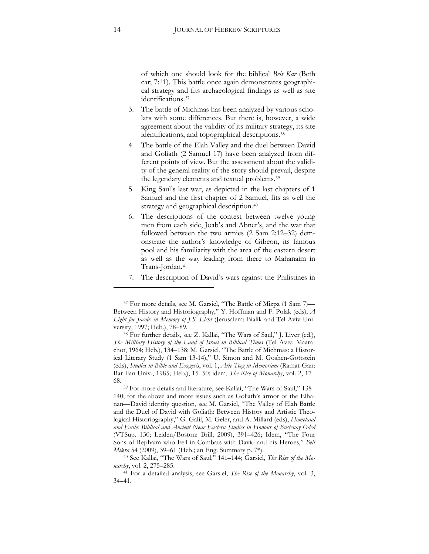of which one should look for the biblical *Beit Kar* (Beth car; 7:11). This battle once again demonstrates geographical strategy and fits archaeological findings as well as site identifications[.37](#page-13-0)

- 3. The battle of Michmas has been analyzed by various scholars with some differences. But there is, however, a wide agreement about the validity of its military strategy, its site identifications, and topographical descriptions.[38](#page-13-1)
- 4. The battle of the Elah Valley and the duel between David and Goliath (2 Samuel 17) have been analyzed from different points of view. But the assessment about the validity of the general reality of the story should prevail, despite the legendary elements and textual problems.[39](#page-13-2)
- 5. King Saul's last war, as depicted in the last chapters of 1 Samuel and the first chapter of 2 Samuel, fits as well the strategy and geographical description.<sup>[40](#page-13-3)</sup>
- 6. The descriptions of the contest between twelve young men from each side, Joab's and Abner's, and the war that followed between the two armies (2 Sam 2:12–32) demonstrate the author's knowledge of Gibeon, its famous pool and his familiarity with the area of the eastern desert as well as the way leading from there to Mahanaim in Trans-Jordan.[41](#page-13-4)
- 7. The description of David's wars against the Philistines in

<span id="page-13-1"></span><sup>38</sup> For further details, see Z. Kallai, "The Wars of Saul," J. Liver (ed.), *The Military History of the Land of Israel in Biblical Times* (Tel Aviv: Maarachot, 1964; Heb.), 134–138; M. Garsiel, "The Battle of Michmas: a Historical Literary Study (1 Sam 13-14)," U. Simon and M. Goshen-Gottstein (eds), *Studies in Bible and Exegesis*, vol. 1, *Arie Toeg in Memoriam* (Ramat-Gan: Bar Ilan Univ., 1985; Heb.), 15–50; idem, *The Rise of Monarchy*, vol. 2, 17– 68.

<span id="page-13-2"></span><sup>39</sup> For more details and literature, see Kallai, "The Wars of Saul," 138– 140; for the above and more issues such as Goliath's armor or the Elhanan—David identity question, see M. Garsiel, "The Valley of Elah Battle and the Duel of David with Goliath: Between History and Artistic Theological Historiography," G. Galil, M. Geler, and A. Millard (eds), *Homeland and Exile: Biblical and Ancient Near Eastern Studies in Honour of Bustenay Oded* (VTSup. 130; Leiden/Boston: Brill, 2009), 391-426; Idem, "The Four Sons of Rephaim who Fell in Combats with David and his Heroes," *Beit*

<span id="page-13-0"></span><sup>37</sup> For more details, see M. Garsiel, "The Battle of Mizpa (1 Sam 7)— Between History and Historiography," Y. Hoffman and F. Polak (eds), *A Light for Jacob: in Memory of J.S. Licht* (Jerusalem: Bialik and Tel Aviv University, 1997; Heb.), 78–89.

<span id="page-13-3"></span>*Mikra* 54 (2009), 39–61 (Heb.; an Eng. Summary p. 7\*).<br><sup>40</sup> See Kallai, "The Wars of Saul," 141–144; Garsiel, *The Rise of the Mo-*

<span id="page-13-4"></span>*narchy*, vol. 2, 275–285. 41 For a detailed analysis, see Garsiel, *The Rise of the Monarchy*, vol. 3, 34–41.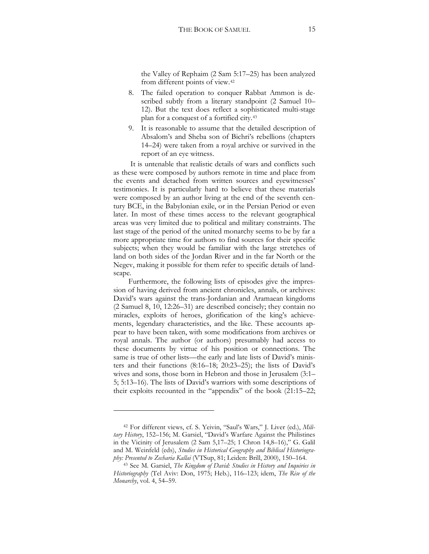the Valley of Rephaim (2 Sam 5:17–25) has been analyzed from different points of view.[42](#page-14-0)

- 8. The failed operation to conquer Rabbat Ammon is described subtly from a literary standpoint (2 Samuel 10– 12). But the text does reflect a sophisticated multi-stage plan for a conquest of a fortified city.[43](#page-14-1)
- 9. It is reasonable to assume that the detailed description of Absalom's and Sheba son of Bichri's rebellions (chapters 14–24) were taken from a royal archive or survived in the report of an eye witness.

It is untenable that realistic details of wars and conflicts such as these were composed by authors remote in time and place from the events and detached from written sources and eyewitnesses' testimonies. It is particularly hard to believe that these materials were composed by an author living at the end of the seventh century BCE, in the Babylonian exile, or in the Persian Period or even later. In most of these times access to the relevant geographical areas was very limited due to political and military constraints. The last stage of the period of the united monarchy seems to be by far a more appropriate time for authors to find sources for their specific subjects; when they would be familiar with the large stretches of land on both sides of the Jordan River and in the far North or the Negev, making it possible for them refer to specific details of landscape.

Furthermore, the following lists of episodes give the impression of having derived from ancient chronicles, annals, or archives: David's wars against the trans-Jordanian and Aramaean kingdoms  $(2$  Samuel 8, 10, 12:26-31) are described concisely; they contain no miracles, exploits of heroes, glorification of the king's achievements, legendary characteristics, and the like. These accounts appear to have been taken, with some modifications from archives or royal annals. The author (or authors) presumably had access to these documents by virtue of his position or connections. The same is true of other lists—the early and late lists of David's ministers and their functions (8:16–18; 20:23–25); the lists of David's wives and sons, those born in Hebron and those in Jerusalem (3:1– 5; 5:13–16). The lists of David's warriors with some descriptions of their exploits recounted in the "appendix" of the book  $(21:15-22;$ 

<span id="page-14-0"></span><sup>42</sup> For different views, cf. S. Yeivin, "Saul's Wars," J. Liver (ed.), *Mili*tary History, 152-156; M. Garsiel, "David's Warfare Against the Philistines in the Vicinity of Jerusalem (2 Sam 5,17-25; 1 Chron 14,8-16)," G. Galil and M. Weinfeld (eds), *Studies in Historical Geography and Biblical Historiogra*phy: Presented to Zecharia Kallai (VTSup, 81; Leiden: Brill, 2000), 150–164.

<span id="page-14-1"></span><sup>43</sup> See M. Garsiel, *The Kingdom of David: Studies in History and Inquiries in Historiography* (Tel Aviv: Don, 1975; Heb.), 116–123; idem, *The Rise of the Monarchy*, vol. 4, 54–59.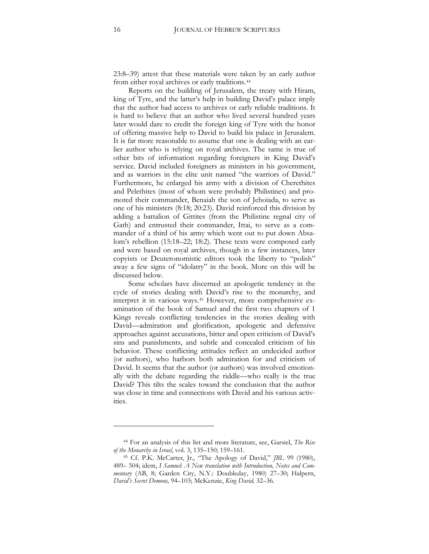23:8–39) attest that these materials were taken by an early author from either royal archives or early traditions.[44](#page-15-0)

Reports on the building of Jerusalem, the treaty with Hiram, king of Tyre, and the latter's help in building David's palace imply that the author had access to archives or early reliable traditions. It is hard to believe that an author who lived several hundred years later would dare to credit the foreign king of Tyre with the honor of offering massive help to David to build his palace in Jerusalem. It is far more reasonable to assume that one is dealing with an earlier author who is relying on royal archives. The same is true of other bits of information regarding foreigners in King David's service. David included foreigners as ministers in his government, and as warriors in the elite unit named "the warriors of David." Furthermore, he enlarged his army with a division of Cherethites and Pelethites (most of whom were probably Philistines) and promoted their commander, Benaiah the son of Jehoiada, to serve as one of his ministers  $(8.18; 20.23)$ . David reinforced this division by adding a battalion of Gittites (from the Philistine regnal city of Gath) and entrusted their commander, Ittai, to serve as a commander of a third of his army which went out to put down Absalom's rebellion (15:18–22; 18:2). These texts were composed early and were based on royal archives, though in a few instances, later copyists or Deuteronomistic editors took the liberty to "polish" away a few signs of "idolatry" in the book. More on this will be discussed below.

Some scholars have discerned an apologetic tendency in the cycle of stories dealing with David's rise to the monarchy, and interpret it in various ways.[45](#page-15-1) However, more comprehensive examination of the book of Samuel and the first two chapters of 1 Kings reveals conflicting tendencies in the stories dealing with David—admiration and glorification, apologetic and defensive approaches against accusations, bitter and open criticism of David's sins and punishments, and subtle and concealed criticism of his behavior. These conflicting attitudes reflect an undecided author (or authors), who harbors both admiration for and criticism of David. It seems that the author (or authors) was involved emotionally with the debate regarding the riddle—who really is the true David? This tilts the scales toward the conclusion that the author was close in time and connections with David and his various activities.

<span id="page-15-0"></span><sup>44</sup> For an analysis of this list and more literature, see, Garsiel, *The Rise of the Monarchy in Israel*, vol. 3, 135–150; 159–161.

<span id="page-15-1"></span><sup>45</sup> Cf. P.K. McCarter, Jr., "The Apology of David," *JBL* 99 (1980), 489– 504b idem, *I Samuel*: *A New translation with Introduction, Notes and Commentary* (AB, 8; Garden City, N.Y.: Doubleday, 1980) 27-30; Halpern, *David's Secret Demons,* 94–103b McKenzie, *King David,* 32–36.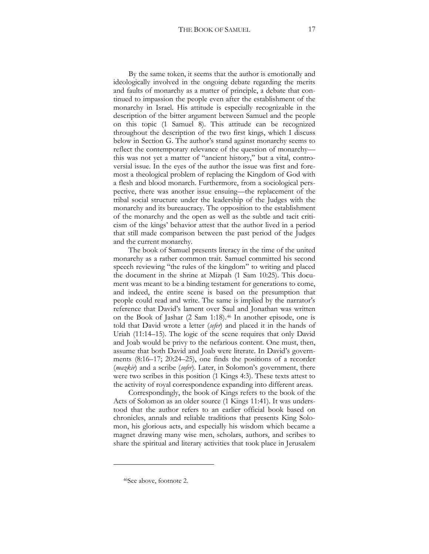By the same token, it seems that the author is emotionally and ideologically involved in the ongoing debate regarding the merits and faults of monarchy as a matter of principle, a debate that continued to impassion the people even after the establishment of the monarchy in Israel. His attitude is especially recognizable in the description of the bitter argument between Samuel and the people on this topic (1 Samuel 8). This attitude can be recognized throughout the description of the two first kings, which I discuss below in Section G. The author's stand against monarchy seems to

reflect the contemporary relevance of the question of monarchy this was not yet a matter of "ancient history," but a vital, controversial issue. In the eyes of the author the issue was first and foremost a theological problem of replacing the Kingdom of God with a flesh and blood monarch. Furthermore, from a sociological perspective, there was another issue ensuing—the replacement of the tribal social structure under the leadership of the Judges with the monarchy and its bureaucracy. The opposition to the establishment of the monarchy and the open as well as the subtle and tacit criticism of the kings' behavior attest that the author lived in a period that still made comparison between the past period of the Judges and the current monarchy.

The book of Samuel presents literacy in the time of the united monarchy as a rather common trait. Samuel committed his second speech reviewing "the rules of the kingdom" to writing and placed the document in the shrine at Mizpah (1 Sam 10:25). This document was meant to be a binding testament for generations to come, and indeed, the entire scene is based on the presumption that people could read and write. The same is implied by the narrator's reference that David's lament over Saul and Jonathan was written on the Book of Jashar (2 Sam 1:18).[46](#page-16-0) In another episode, one is told that David wrote a letter (*sefer*) and placed it in the hands of Uriah (11:14–15). The logic of the scene requires that only David and Joab would be privy to the nefarious content. One must, then, assume that both David and Joab were literate. In David's governments  $(8:16-17; 20:24-25)$ , one finds the positions of a recorder (*mazkir*) and a scribe (*sofer*). Later, in Solomon's government, there were two scribes in this position (1 Kings 4:3). These texts attest to the activity of royal correspondence expanding into different areas.

Correspondingly, the book of Kings refers to the book of the Acts of Solomon as an older source (1 Kings 11:41). It was understood that the author refers to an earlier official book based on chronicles, annals and reliable traditions that presents King Solomon, his glorious acts, and especially his wisdom which became a magnet drawing many wise men, scholars, authors, and scribes to share the spiritual and literary activities that took place in Jerusalem

<span id="page-16-0"></span> $\ddot{\phantom{a}}$ 

<sup>46</sup>See above, footnote 2.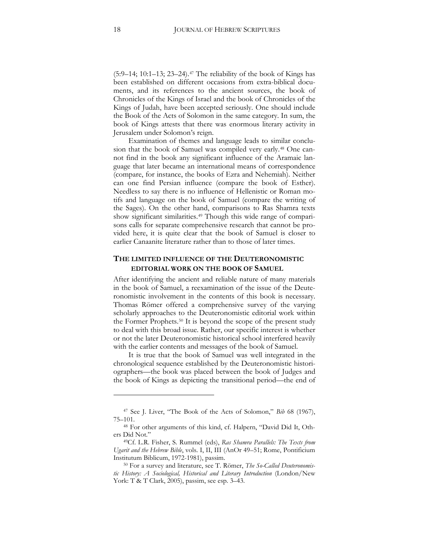$(5:9-14; 10:1-13; 23-24).$ <sup>[47](#page-17-0)</sup> The reliability of the book of Kings has been established on different occasions from extra-biblical documents, and its references to the ancient sources, the book of Chronicles of the Kings of Israel and the book of Chronicles of the Kings of Judah, have been accepted seriously. One should include the Book of the Acts of Solomon in the same category. In sum, the book of Kings attests that there was enormous literary activity in Jerusalem under Solomon's reign.

Examination of themes and language leads to similar conclusion that the book of Samuel was compiled very early.[48](#page-17-1) One cannot find in the book any significant influence of the Aramaic language that later became an international means of correspondence (compare, for instance, the books of Ezra and Nehemiah). Neither can one find Persian influence (compare the book of Esther). Needless to say there is no influence of Hellenistic or Roman motifs and language on the book of Samuel (compare the writing of the Sages). On the other hand, comparisons to Ras Shamra texts show significant similarities.[49](#page-17-2) Though this wide range of comparisons calls for separate comprehensive research that cannot be provided here, it is quite clear that the book of Samuel is closer to earlier Canaanite literature rather than to those of later times.

## **THE LIMITED INFLUENCE OF THE DEUTERONOMISTIC EDITORIAL WORK ON THE BOOK OF SAMUEL**

After identifying the ancient and reliable nature of many materials in the book of Samuel, a reexamination of the issue of the Deuteronomistic involvement in the contents of this book is necessary. Thomas Römer offered a comprehensive survey of the varying scholarly approaches to the Deuteronomistic editorial work within the Former Prophets[.50](#page-17-3) It is beyond the scope of the present study to deal with this broad issue. Rather, our specific interest is whether or not the later Deuteronomistic historical school interfered heavily with the earlier contents and messages of the book of Samuel.

It is true that the book of Samuel was well integrated in the chronological sequence established by the Deuteronomistic historiographers—the book was placed between the book of Judges and the book of Kings as depicting the transitional period—the end of

<span id="page-17-0"></span><sup>47</sup> See J. Liver, "The Book of the Acts of Solomon," *Bib* 68 (1967), 75–101.

<span id="page-17-1"></span><sup>48</sup> For other arguments of this kind, cf. Halpern, "David Did It, Others Did Not."

<span id="page-17-2"></span><sup>49</sup>Cf. L.R. Fisher, S. Rummel (eds), *Ras Shamra Parallels: The Texts from Ugarit and the Hebrew Bible*, vols. I, II, III (AnOr 49-51; Rome, Pontificium Institutum Biblicum, 1972-1981), passim.

<span id="page-17-3"></span><sup>50</sup> For a survey and literature, see T. Römer, *The So-Called Deuteronomistic History: A Sociological, Historical and Literary Introduction* (London/New York: T & T Clark, 2005), passim, see esp. 3–43.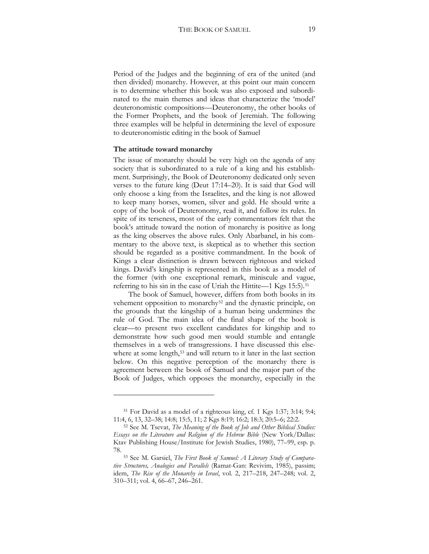Period of the Judges and the beginning of era of the united (and then divided) monarchy. However, at this point our main concern is to determine whether this book was also exposed and subordinated to the main themes and ideas that characterize the 'model' deuteronomistic compositions—Deuteronomy, the other books of the Former Prophets, and the book of Jeremiah. The following three examples will be helpful in determining the level of exposure to deuteronomistic editing in the book of Samuel

#### **The attitude toward monarchy**

 $\overline{a}$ 

The issue of monarchy should be very high on the agenda of any society that is subordinated to a rule of a king and his establishment. Surprisingly, the Book of Deuteronomy dedicated only seven verses to the future king (Deut 17:14–20). It is said that God will only choose a king from the Israelites, and the king is not allowed to keep many horses, women, silver and gold. He should write a copy of the book of Deuteronomy, read it, and follow its rules. In spite of its terseness, most of the early commentators felt that the book's attitude toward the notion of monarchy is positive as long as the king observes the above rules. Only Abarbanel, in his commentary to the above text, is skeptical as to whether this section should be regarded as a positive commandment. In the book of Kings a clear distinction is drawn between righteous and wicked kings. David's kingship is represented in this book as a model of the former (with one exceptional remark, miniscule and vague, referring to his sin in the case of Uriah the Hittite—1 Kgs 15:5).<sup>[51](#page-18-0)</sup>

The book of Samuel, however, differs from both books in its vehement opposition to monarchy<sup>[52](#page-18-1)</sup> and the dynastic principle, on the grounds that the kingship of a human being undermines the rule of God. The main idea of the final shape of the book is clear—to present two excellent candidates for kingship and to demonstrate how such good men would stumble and entangle themselves in a web of transgressions. I have discussed this else-where at some length,<sup>[53](#page-18-2)</sup> and will return to it later in the last section below. On this negative perception of the monarchy there is agreement between the book of Samuel and the major part of the Book of Judges, which opposes the monarchy, especially in the

<span id="page-18-0"></span> $51$  For David as a model of a righteous king, cf. 1 Kgs 1:37; 3:14; 9:4; 11:4, 6, 13, 32–38; 14:8; 15:5, 11; 2 Kgs 8:19; 16:2; 18:3; 20:5–6; 22:2.

<span id="page-18-1"></span><sup>52</sup> See M. Tsevat, *The Meaning of the Book of Job and Other Biblical Studies: Essays on the Literature and Religion of the Hebrew Bible* (New York/Dallas: Ktav Publishing House/Institute for Jewish Studies, 1980), 77–99, esp. p. 78.

<span id="page-18-2"></span><sup>53</sup> See M. Garsiel, *The First Book of Samuel: A Literary Study of Comparative Structures, Analogies and Parallels* (Ramat-Gan: Revivim, 1985), passim; idem, *The Rise of the Monarchy in Israel*, vol. 2, 217–218, 247–248; vol. 2, 310–311; vol. 4, 66–67, 246–261.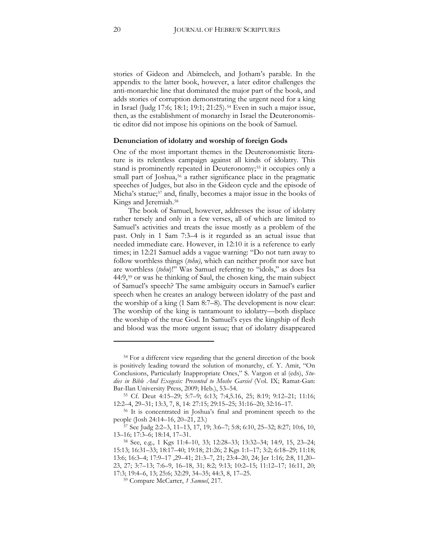stories of Gideon and Abimelech, and Jotham's parable. In the appendix to the latter book, however, a later editor challenges the anti-monarchic line that dominated the major part of the book, and adds stories of corruption demonstrating the urgent need for a king in Israel (Judg 17:6; 18:1; 19:1; 21:25).<sup>[54](#page-19-0)</sup> Even in such a major issue, then, as the establishment of monarchy in Israel the Deuteronomistic editor did not impose his opinions on the book of Samuel.

#### **Denunciation of idolatry and worship of foreign Gods**

One of the most important themes in the Deuteronomistic literature is its relentless campaign against all kinds of idolatry. This stand is prominently repeated in Deuteronomy;<sup>[55](#page-19-1)</sup> it occupies only a small part of Joshua,<sup>[56](#page-19-2)</sup> a rather significance place in the pragmatic speeches of Judges, but also in the Gideon cycle and the episode of Micha's statue;<sup>[57](#page-19-3)</sup> and, finally, becomes a major issue in the books of Kings and Jeremiah.<sup>[58](#page-19-4)</sup>

The book of Samuel, however, addresses the issue of idolatry rather tersely and only in a few verses, all of which are limited to Samuel's activities and treats the issue mostly as a problem of the past. Only in 1 Sam 7:3–4 is it regarded as an actual issue that needed immediate care. However, in 12:10 it is a reference to early times; in 12:21 Samuel adds a vague warning: "Do not turn away to follow worthless things (*tohu)*, which can neither profit nor save but are worthless (*tohu*)!" Was Samuel referring to "idols," as does Isa 44:9,[59](#page-19-5) or was he thinking of Saul, the chosen king, the main subject of Samuel's speech? The same ambiguity occurs in Samuel's earlier speech when he creates an analogy between idolatry of the past and the worship of a king (1 Sam 8:7–8). The development is now clear: The worship of the king is tantamount to idolatry—both displace the worship of the true God. In Samuel's eyes the kingship of flesh and blood was the more urgent issue; that of idolatry disappeared

<span id="page-19-0"></span><sup>54</sup> For a different view regarding that the general direction of the book is positively leading toward the solution of monarchy, cf. Y. Amit, "On Conclusions, Particularly Inappropriate Ones," S. Vargon et al (eds), *Stu*dies in Bible And Exegesis: Presented to Moshe Garsiel (Vol. IX; Ramat-Gan: Bar-Ilan University Press, 2009; Heb.), 53–54.

<span id="page-19-1"></span><sup>55</sup> Cf. Deut 4:15–29; 5:7–9; 6:13; 7:4,5.16, 25; 8:19; 9:12–21; 11:16; 12:2–4, 29–31; 13:3, 7, 8, 14: 27:15; 29:15–25; 31:16–20; 32:16–17.

<span id="page-19-2"></span><sup>56</sup> It is concentrated in Joshua's final and prominent speech to the people (Josh 24:14–16, 20–21, 23.)

<span id="page-19-3"></span><sup>57</sup> See Judg 2:2-3, 11-13, 17, 19; 3:6-7; 5:8; 6:10, 25-32; 8:27; 10:6, 10, 13–16; 17:3–6; 18:14, 17–31.

<span id="page-19-5"></span><span id="page-19-4"></span><sup>58</sup> See, e.g., 1 Kgs 11:4-10, 33; 12:28-33; 13:32-34; 14:9, 15, 23-24; 15:13; 16:31–33; 18:17–40; 19:18; 21:26; 2 Kgs 1:1–17; 3:2; 6:18–29; 11:18; 13:6; 16:3-4; 17:9-17, 29-41; 21:3-7, 21; 23:4-20, 24; Jer 1:16; 2:8, 11,20-23, 27; 3:7–13; 7:6–9, 16–18, 31; 8:2; 9:13; 10:2–15; 11:12–17; 16:11, 20; 17:3; 19:4–6, 13; 25:6; 32:29, 34–35; 44:3, 8, 17–25.<br><sup>59</sup> Compare McCarter, *1 Samuel*, 217.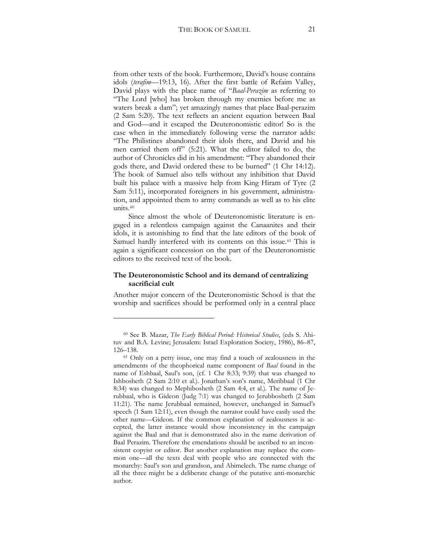from other texts of the book. Furthermore, David's house contains idols (*terafim*—19:13, 16). After the first battle of Refaim Valley, David plays with the place name of "*Baal-Perazim* as referring to "The Lord [who] has broken through my enemies before me as waters break a dam"; yet amazingly names that place Baal-perazim (2 Sam 5:20). The text reflects an ancient equation between Baal and God—and it escaped the Deuteronomistic editor! So is the case when in the immediately following verse the narrator adds: "The Philistines abandoned their idols there, and David and his men carried them off" (5:21). What the editor failed to do, the author of Chronicles did in his amendment: "They abandoned their gods there, and David ordered these to be burned" (1 Chr 14:12). The book of Samuel also tells without any inhibition that David built his palace with a massive help from King Hiram of Tyre (2 Sam 5:11), incorporated foreigners in his government, administration, and appointed them to army commands as well as to his elite units.[60](#page-20-0)

Since almost the whole of Deuteronomistic literature is engaged in a relentless campaign against the Canaanites and their idols, it is astonishing to find that the late editors of the book of Samuel hardly interfered with its contents on this issue.[61](#page-20-1) This is again a significant concession on the part of the Deuteronomistic editors to the received text of the book.

#### **The Deuteronomistic School and its demand of centralizing sacrificial cult**

Another major concern of the Deuteronomistic School is that the worship and sacrifices should be performed only in a central place

<span id="page-20-0"></span><sup>60</sup> See B. Mazar, *The Early Biblical Period: Historical Studies*, (eds S. Ahituv and B.A. Levine; Jerusalem: Israel Exploration Society, 1986), 86–87, 126–138.

<span id="page-20-1"></span><sup>61</sup> Only on a petty issue, one may find a touch of zealousness in the amendments of the theophorical name component of *Baal* found in the name of Eshbaal, Saul's son, (cf. 1 Chr 8:33; 9:39) that was changed to Ishbosheth (2 Sam 2:10 et al.). Jonathan's son's name, Meribbaal (1 Chr 8:34) was changed to Mephibosheth (2 Sam 4:4, et al.). The name of Jerubbaal, who is Gideon (Judg 7:1) was changed to Jerubbosheth (2 Sam 11:21). The name Jerubbaal remained, however, unchanged in Samuel's speech (1 Sam 12:11), even though the narrator could have easily used the other name—Gideon. If the common explanation of zealousness is accepted, the latter instance would show inconsistency in the campaign against the Baal and that is demonstrated also in the name derivation of Baal Perazim. Therefore the emendations should be ascribed to an inconsistent copyist or editor. But another explanation may replace the common one—all the texts deal with people who are connected with the monarchy: Saul's son and grandson, and Abimelech. The name change of all the three might be a deliberate change of the putative anti-monarchic author.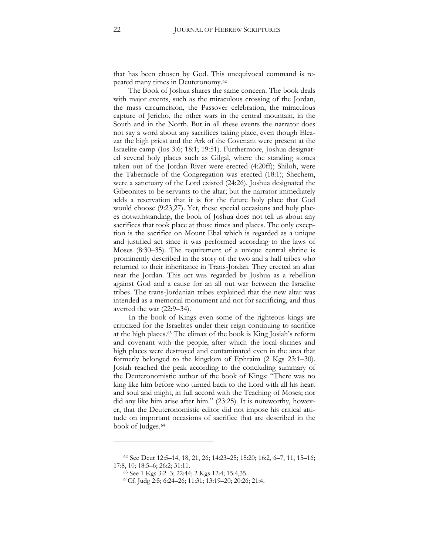that has been chosen by God. This unequivocal command is repeated many times in Deuteronomy.[62](#page-21-0)

The Book of Joshua shares the same concern. The book deals with major events, such as the miraculous crossing of the Jordan, the mass circumcision, the Passover celebration, the miraculous capture of Jericho, the other wars in the central mountain, in the South and in the North. But in all these events the narrator does not say a word about any sacrifices taking place, even though Eleazar the high priest and the Ark of the Covenant were present at the Israelite camp (Jos 3:6; 18:1; 19:51). Furthermore, Joshua designated several holy places such as Gilgal, where the standing stones taken out of the Jordan River were erected (4:20ff); Shiloh, were the Tabernacle of the Congregation was erected  $(18:1)$ ; Shechem, were a sanctuary of the Lord existed (24:26). Joshua designated the Gibeonites to be servants to the altar; but the narrator immediately adds a reservation that it is for the future holy place that God would choose (9:23,27). Yet, these special occasions and holy places notwithstanding, the book of Joshua does not tell us about any sacrifices that took place at those times and places. The only exception is the sacrifice on Mount Ebal which is regarded as a unique and justified act since it was performed according to the laws of Moses (8:30–35). The requirement of a unique central shrine is prominently described in the story of the two and a half tribes who returned to their inheritance in Trans-Jordan. They erected an altar near the Jordan. This act was regarded by Joshua as a rebellion against God and a cause for an all out war between the Israelite tribes. The trans-Jordanian tribes explained that the new altar was intended as a memorial monument and not for sacrificing, and thus averted the war (22:9–34).

In the book of Kings even some of the righteous kings are criticized for the Israelites under their reign continuing to sacrifice at the high places.[63](#page-21-1) The climax of the book is King Josiah's reform and covenant with the people, after which the local shrines and high places were destroyed and contaminated even in the area that formerly belonged to the kingdom of Ephraim (2 Kgs 23:1–30). Josiah reached the peak according to the concluding summary of the Deuteronomistic author of the book of Kings: "There was no king like him before who turned back to the Lord with all his heart and soul and might, in full accord with the Teaching of Moses; nor did any like him arise after him." (23:25). It is noteworthy, however, that the Deuteronomistic editor did not impose his critical attitude on important occasions of sacrifice that are described in the book of Judges.<sup>[64](#page-21-2)</sup>

<span id="page-21-2"></span><span id="page-21-1"></span><span id="page-21-0"></span><sup>62</sup> See Deut 12:5-14, 18, 21, 26; 14:23-25; 15:20; 16:2, 6-7, 11, 15-16; 17:8, 10; 18:5–6; 26:2; 31:11.

<sup>63</sup> See 1 Kgs 3:2-3; 22:44; 2 Kgs 12:4; 15:4,35.

<sup>64</sup>Cf. Judg 2:5; 6:24-26; 11:31; 13:19-20; 20:26; 21:4.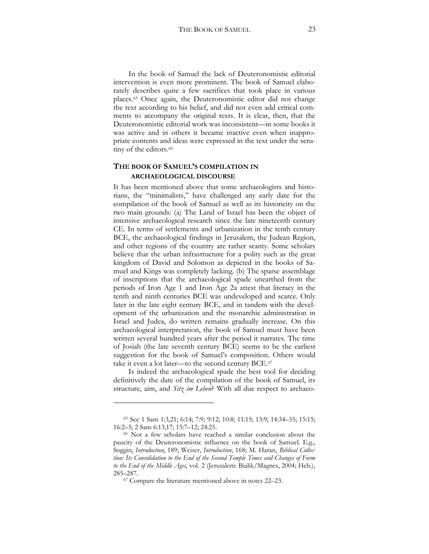In the book of Samuel the lack of Deuteronomistic editorial intervention is even more prominent. The book of Samuel elaborately describes quite a few sacrifices that took place in various places.[65](#page-22-0) Once again, the Deuteronomistic editor did not change the text according to his belief, and did not even add critical comments to accompany the original texts. It is clear, then, that the Deuteronomistic editorial work was inconsistent—in some books it was active and in others it became inactive even when inappropriate contents and ideas were expressed in the text under the scru-tiny of the editors.<sup>[66](#page-22-1)</sup>

## **THE BOOK OF SAMUEL'S COMPILATION IN ARCHAEOLOGICAL DISCOURSE**

It has been mentioned above that some archaeologists and historians, the "minimalists," have challenged any early date for the compilation of the book of Samuel as well as its historicity on the two main grounds: (a) The Land of Israel has been the object of intensive archaeological research since the late nineteenth century CE. In terms of settlements and urbanization in the tenth century BCE, the archaeological findings in Jerusalem, the Judean Region, and other regions of the country are rather scanty. Some scholars believe that the urban infrastructure for a polity such as the great kingdom of David and Solomon as depicted in the books of Samuel and Kings was completely lacking. (b) The sparse assemblage of inscriptions that the archaeological spade unearthed from the periods of Iron Age 1 and Iron Age 2a attest that literacy in the tenth and ninth centuries BCE was undeveloped and scarce. Only later in the late eight century BCE, and in tandem with the development of the urbanization and the monarchic administration in Israel and Judea, do written remains gradually increase. On this archaeological interpretation, the book of Samuel must have been written several hundred years after the period it narrates. The time of Josiah (the late seventh century BCE) seems to be the earliest suggestion for the book of Samuel's composition. Others would take it even a lot later—to the second century BCE.[67](#page-22-2)

Is indeed the archaeological spade the best tool for deciding definitively the date of the compilation of the book of Samuel, its structure, aim, and *Sitz im Leben*? With all due respect to archaeo-

<span id="page-22-0"></span><sup>65</sup> See 1 Sam 1:3,21; 6:14; 7:9; 9:12; 10:8; 11:15; 13:9; 14:34–35; 15:15; 16:2-5; 2 Sam 6:13,17; 15:7-12; 24:25.

<span id="page-22-2"></span><span id="page-22-1"></span><sup>66</sup> Not a few scholars have reached a similar conclusion about the paucity of the Deuteronomistic influence on the book of Samuel. E.g., Soggin, *Introduction*, 189; Weiser, *Introduction*, 168; M. Haran, *Biblical Collection: Its Consolidation to the End of the Second Temple Times and Changes of Form*  to the End of the Middle Ages, vol. 2 (Jerusalem: Bialik/Magnes, 2004; Heb.), 285–287.

<sup>67</sup> Compare the literature mentioned above in notes 22–23.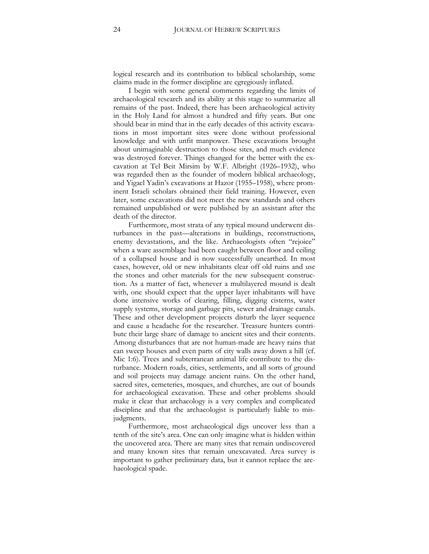logical research and its contribution to biblical scholarship, some claims made in the former discipline are egregiously inflated.

I begin with some general comments regarding the limits of archaeological research and its ability at this stage to summarize all remains of the past. Indeed, there has been archaeological activity in the Holy Land for almost a hundred and fifty years. But one should bear in mind that in the early decades of this activity excavations in most important sites were done without professional knowledge and with unfit manpower. These excavations brought about unimaginable destruction to those sites, and much evidence was destroyed forever. Things changed for the better with the excavation at Tel Beit Mirsim by W.F. Albright (1926–1932), who was regarded then as the founder of modern biblical archaeology, and Yigael Yadin's excavations at Hazor (1955–1958), where prominent Israeli scholars obtained their field training. However, even later, some excavations did not meet the new standards and others remained unpublished or were published by an assistant after the death of the director.

Furthermore, most strata of any typical mound underwent disturbances in the past—alterations in buildings, reconstructions, enemy devastations, and the like. Archaeologists often "rejoice" when a ware assemblage had been caught between floor and ceiling of a collapsed house and is now successfully unearthed. In most cases, however, old or new inhabitants clear off old ruins and use the stones and other materials for the new subsequent construction. As a matter of fact, whenever a multilayered mound is dealt with, one should expect that the upper layer inhabitants will have done intensive works of clearing, filling, digging cisterns, water supply systems, storage and garbage pits, sewer and drainage canals. These and other development projects disturb the layer sequence and cause a headache for the researcher. Treasure hunters contribute their large share of damage to ancient sites and their contents. Among disturbances that are not human-made are heavy rains that can sweep houses and even parts of city walls away down a hill (cf. Mic 1:6). Trees and subterranean animal life contribute to the disturbance. Modern roads, cities, settlements, and all sorts of ground and soil projects may damage ancient ruins. On the other hand, sacred sites, cemeteries, mosques, and churches, are out of bounds for archaeological excavation. These and other problems should make it clear that archaeology is a very complex and complicated discipline and that the archaeologist is particularly liable to misjudgments.

Furthermore, most archaeological digs uncover less than a tenth of the site's area. One can only imagine what is hidden within the uncovered area. There are many sites that remain undiscovered and many known sites that remain unexcavated. Area survey is important to gather preliminary data, but it cannot replace the archaeological spade.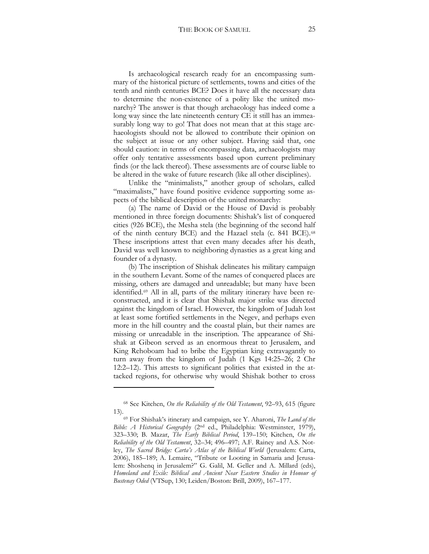Is archaeological research ready for an encompassing summary of the historical picture of settlements, towns and cities of the tenth and ninth centuries BCE? Does it have all the necessary data to determine the non-existence of a polity like the united monarchy? The answer is that though archaeology has indeed come a long way since the late nineteenth century CE it still has an immeasurably long way to go! That does not mean that at this stage archaeologists should not be allowed to contribute their opinion on the subject at issue or any other subject. Having said that, one should caution: in terms of encompassing data, archaeologists may offer only tentative assessments based upon current preliminary finds (or the lack thereof). These assessments are of course liable to be altered in the wake of future research (like all other disciplines).

Unlike the "minimalists," another group of scholars, called "maximalists," have found positive evidence supporting some aspects of the biblical description of the united monarchy:

(a) The name of David or the House of David is probably mentioned in three foreign documents: Shishak's list of conquered cities (926 BCE), the Mesha stela (the beginning of the second half of the ninth century BCE) and the Hazael stela (c. 841 BCE).[68](#page-24-0) These inscriptions attest that even many decades after his death, David was well known to neighboring dynasties as a great king and founder of a dynasty.

(b) The inscription of Shishak delineates his military campaign in the southern Levant. Some of the names of conquered places are missing, others are damaged and unreadable; but many have been identified.[69](#page-24-1) All in all, parts of the military itinerary have been reconstructed, and it is clear that Shishak major strike was directed against the kingdom of Israel. However, the kingdom of Judah lost at least some fortified settlements in the Negev, and perhaps even more in the hill country and the coastal plain, but their names are missing or unreadable in the inscription. The appearance of Shishak at Gibeon served as an enormous threat to Jerusalem, and King Rehoboam had to bribe the Egyptian king extravagantly to turn away from the kingdom of Judah  $(1 \text{ Kgs } 14:25-26; 2 \text{ Chr})$ 12:2–12). This attests to significant polities that existed in the attacked regions, for otherwise why would Shishak bother to cross

<sup>68</sup> See Kitchen, *On the Reliability of the Old Testament*, 92–93, 615 (figure

<span id="page-24-1"></span><span id="page-24-0"></span><sup>13).69</sup> For Shishak's itinerary and campaign, see Y. Aharoni, *The Land of the Bible: A Historical Geography* (2nd ed., Philadelphia: Westminster, 1979), 323-330; B. Mazar, *The Early Biblical Period*, 139-150; Kitchen, *On the Reliability of the Old Testament*, 32–34; 496–497; A.F. Rainey and A.S. Notley, *The Sacred Bridge: Carta's Atlas of the Biblical World* (Jerusalem: Carta, 2006), 185-189; A. Lemaire, "Tribute or Looting in Samaria and Jerusalem: Shoshenq in Jerusalem?" G. Galil, M. Geller and A. Millard (eds), *Homeland and Exile: Biblical and Ancient Near Eastern Studies in Honour of Bustenay Oded* (VTSup, 130; Leiden/Boston: Brill, 2009), 167–177.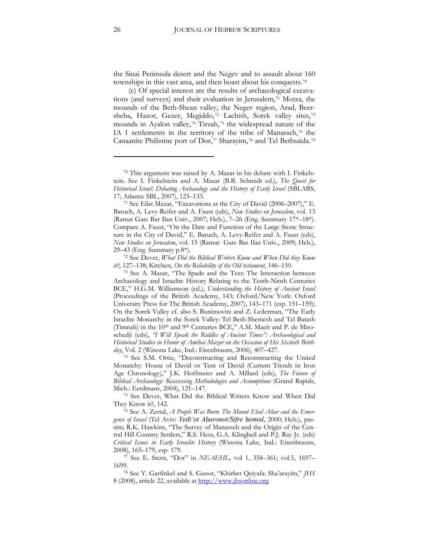the Sinai Peninsula desert and the Negev and to assault about 160 townships in this vast area, and then boast about his conquests.[70](#page-25-0)

(c) Of special interest are the results of archaeological excava-tions (and surveys) and their evaluation in Jerusalem,<sup>[71](#page-25-1)</sup> Motza, the mounds of the Beth-Shean valley, the Negev region, Arad, Beer-sheba, Hazor, Gezer, Megiddo,<sup>[72](#page-25-2)</sup> Lachish, Sorek valley sites,<sup>[73](#page-25-3)</sup> mounds in Ayalon valley,[74](#page-25-4) Tirzah,[75](#page-25-5) the widespread nature of the IA 1 settlements in the territory of the tribe of Manasseh,<sup>[76](#page-25-6)</sup> the Canaanite Philistine port of Dor,<sup>[77](#page-25-7)</sup> Sharayim,<sup>[78](#page-25-8)</sup> and Tel Bethsaida.<sup>[79](#page-25-9)</sup>

<span id="page-25-0"></span><sup>70</sup> This argument was raised by A. Mazar in his debate with I. Finkelstein. See I. Finkelstein and A. Mazar (B.B. Schmidt ed.), *The Quest for Historical Israel: Debating Archaeology and the History of Early Israel* (SBLABS, 17; Atlanta: SBL, 2007), 123-133.

<span id="page-25-1"></span><sup>71</sup> See Eilat Mazar, "Excavations at the City of David (2006–2007)," E. Baruch, A. Levy-Reifer and A. Faust (eds), *New Studies on Jerusalem*, vol. 13 (Ramat Gan: Bar Ilan Univ., 2007; Heb.), 7–26 (Eng. Summary 17\*–18\*). Compare A. Faust, "On the Date and Function of the Large Stone Structure in the City of David," E. Baruch, A. Levy-Reifer and A. Faust (eds), *New Studies on Jerusalem*, vol. 15 (Ramat- Gan: Bar Ilan Univ., 2009; Heb.), 29–43 (Eng. Summary p.8\*).

<span id="page-25-2"></span><sup>72</sup> See Dever, *What Did the Biblical Writers Know and When Did they Know*  it?, 127–138; Kitchen, *On the Reliability of the Old testament*, 146–150.

<span id="page-25-3"></span><sup>73</sup> See A. Mazar, "The Spade and the Text: The Interaction between Archaeology and Israelite History Relating to the Tenth-Ninth Centuries BCE," H.G.M. Williamson (ed.), *Understanding the History of Ancient Israel* (Proceedings of the British Academy, 143; Oxford/New York: Oxford University Press for The British Academy, 2007), 143–171 (esp. 151–159); On the Sorek Valley cf. also S. Bunimovitz and Z. Lederman, "The Early Israelite Monarchy in the Sorek Valley: Tel Beth-Shemesh and Tel Batash (Timnah) in the 10<sup>th</sup> and <sup>9th</sup> Centuries BCE," A.M. Maeir and P. de Miroschedji (eds), *"I Will Speak the Riddles of Ancient Times": Archaeological and Historical Studies in Honor of Amihai Mazar on the Occasion of His Sixtieth Birthday*, Vol. 2 (Winona Lake, Ind.: Eisenbrauns, 2006), 407–427.

<span id="page-25-4"></span><sup>74</sup> See S.M. Ortiz, "Deconstructing and Reconstructing the United Monarchy: House of David or Tent of David (Current Trends in Iron Age Chronology)," J.K. Hoffmeier and A. Millard (eds), *The Future of Biblical Archaeology: Reassessing Methodologies and Assumptions* (Grand Rapids, Mich.: Eerdmans, 2004), 121–147.

<span id="page-25-5"></span><sup>75</sup> See Dever, What Did the Biblical Writers Know and When Did They Know it?, 142.

<span id="page-25-9"></span><span id="page-25-6"></span><sup>76</sup> See A. Zertal, *A People Was Born*: *The Mount Ebal Altar and the Emergence of Israel* (Tel Aviv: *Yedi'ot Aharonot/Sifre hemed*, 2000; Heb.), passim; R.K. Hawkins, "The Survey of Manasseh and the Origin of the Central Hill Country Settlers," R.S. Hess, G.A. Klingbeil and P.J. Ray Jr. (eds) *Critical Issues in Early Israelite History* (Winona Lake, Ind.: Eisenbrauns, 2008), 165–179, esp. 179.

<span id="page-25-7"></span><sup>77</sup> See E. Stern, "Dor" in *NEAEHL*, vol 1, 358-361; vol.5, 1697-1699.

<span id="page-25-8"></span><sup>78</sup> See Y. Garfinkel and S. Ganor, "Khirbet Qeiyafa: Sha'arayim," *JHS* 8 (2008), article 22, available at [http://www.jhsonline.org](http://www.jhsonline.org/)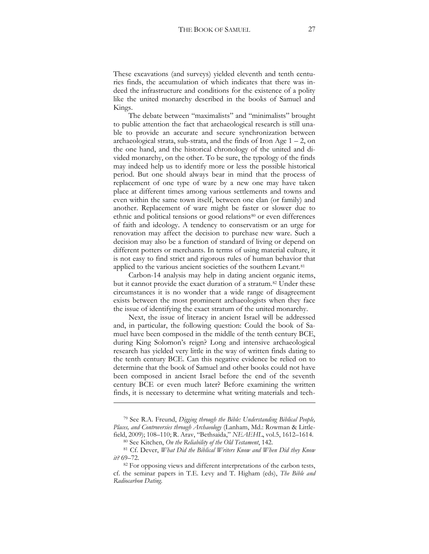These excavations (and surveys) yielded eleventh and tenth centuries finds, the accumulation of which indicates that there was indeed the infrastructure and conditions for the existence of a polity like the united monarchy described in the books of Samuel and Kings.

The debate between "maximalists" and "minimalists" brought to public attention the fact that archaeological research is still unable to provide an accurate and secure synchronization between archaeological strata, sub-strata, and the finds of Iron Age  $1 - 2$ , on the one hand, and the historical chronology of the united and divided monarchy, on the other. To be sure, the typology of the finds may indeed help us to identify more or less the possible historical period. But one should always bear in mind that the process of replacement of one type of ware by a new one may have taken place at different times among various settlements and towns and even within the same town itself, between one clan (or family) and another. Replacement of ware might be faster or slower due to ethnic and political tensions or good relations<sup>[80](#page-26-0)</sup> or even differences of faith and ideology. A tendency to conservatism or an urge for renovation may affect the decision to purchase new ware. Such a decision may also be a function of standard of living or depend on different potters or merchants. In terms of using material culture, it is not easy to find strict and rigorous rules of human behavior that applied to the various ancient societies of the southern Levant.<sup>[81](#page-26-1)</sup>

Carbon-14 analysis may help in dating ancient organic items, but it cannot provide the exact duration of a stratum.<sup>[82](#page-26-2)</sup> Under these circumstances it is no wonder that a wide range of disagreement exists between the most prominent archaeologists when they face the issue of identifying the exact stratum of the united monarchy.

Next, the issue of literacy in ancient Israel will be addressed and, in particular, the following question: Could the book of Samuel have been composed in the middle of the tenth century BCE, during King Solomon's reign? Long and intensive archaeological research has yielded very little in the way of written finds dating to the tenth century BCE. Can this negative evidence be relied on to determine that the book of Samuel and other books could not have been composed in ancient Israel before the end of the seventh century BCE or even much later? Before examining the written finds, it is necessary to determine what writing materials and tech-

<u>.</u>

<sup>79</sup> See R.A. Freund, *Digging through the Bible: Understanding Biblical People, Places, and Controversies through Archaeology* (Lanham, Md.: Rowman & Littlefield, 2009); 108–110; R. Arav, "Bethsaida," *NEAEHL*, vol.5, 1612–1614.

<sup>80</sup> See Kitchen, *On the Reliability of the Old Testament*, 142.

<span id="page-26-1"></span><span id="page-26-0"></span><sup>81</sup> Cf. Dever, *What Did the Biblical Writers Know and When Did they Know it?* 69–72.

<span id="page-26-2"></span><sup>&</sup>lt;sup>82</sup> For opposing views and different interpretations of the carbon tests, cf. the seminar papers in T.E. Levy and T. Higham (eds), *The Bible and Radiocarbon Dating*.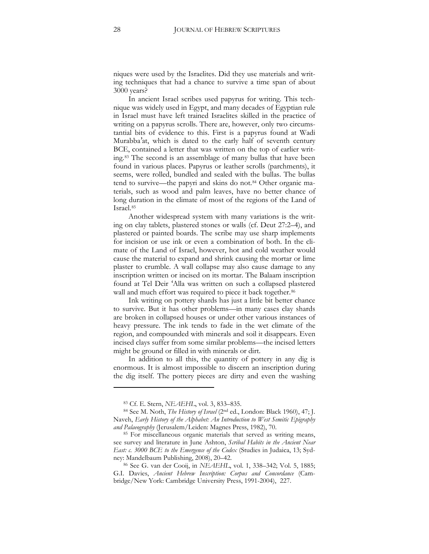niques were used by the Israelites. Did they use materials and writing techniques that had a chance to survive a time span of about 3000 years?

In ancient Israel scribes used papyrus for writing. This technique was widely used in Egypt, and many decades of Egyptian rule in Israel must have left trained Israelites skilled in the practice of writing on a papyrus scrolls. There are, however, only two circumstantial bits of evidence to this. First is a papyrus found at Wadi Murabba'at, which is dated to the early half of seventh century BCE, contained a letter that was written on the top of earlier writing.[83](#page-27-0) The second is an assemblage of many bullas that have been found in various places. Papyrus or leather scrolls (parchments), it seems, were rolled, bundled and sealed with the bullas. The bullas tend to survive—the papyri and skins do not.[84](#page-27-1) Other organic materials, such as wood and palm leaves, have no better chance of long duration in the climate of most of the regions of the Land of Israel.[85](#page-27-2)

Another widespread system with many variations is the writing on clay tablets, plastered stones or walls (cf. Deut 27:2–4), and plastered or painted boards. The scribe may use sharp implements for incision or use ink or even a combination of both. In the climate of the Land of Israel, however, hot and cold weather would cause the material to expand and shrink causing the mortar or lime plaster to crumble. A wall collapse may also cause damage to any inscription written or incised on its mortar. The Balaam inscription found at Tel Deir 'Alla was written on such a collapsed plastered wall and much effort was required to piece it back together.<sup>[86](#page-27-3)</sup>

Ink writing on pottery shards has just a little bit better chance to survive. But it has other problems—in many cases clay shards are broken in collapsed houses or under other various instances of heavy pressure. The ink tends to fade in the wet climate of the region, and compounded with minerals and soil it disappears. Even incised clays suffer from some similar problems—the incised letters might be ground or filled in with minerals or dirt.

In addition to all this, the quantity of pottery in any dig is enormous. It is almost impossible to discern an inscription during the dig itself. The pottery pieces are dirty and even the washing

<sup>83</sup> Cf. E. Stern, *NEAEHL*, vol. 3, 833–835.

<span id="page-27-1"></span><span id="page-27-0"></span><sup>&</sup>lt;sup>84</sup> See M. Noth, *The History of Israel* (2<sup>nd</sup> ed., London: Black 1960), 47; J. Naveh, *Early History of the Alphabet: An Introduction to West Semitic Epigraphy and Palaeography* (Jerusalem/Leiden: Magnes Press, 1982), 70.

<span id="page-27-2"></span><sup>85</sup> For miscellaneous organic materials that served as writing means, see survey and literature in June Ashton, *Scribal Habits in the Ancient Near East: c. 3000 BCE to the Emergence of the Codex* (Studies in Judaica, 13; Sydney: Mandelbaum Publishing, 2008), 20–42.

<span id="page-27-3"></span><sup>&</sup>lt;sup>86</sup> See G. van der Cooij, in *NEAEHL*, vol. 1, 338-342; Vol. 5, 1885; G.I. Davies, *Ancient Hebrew Inscription: Corpus and Concordance* (Cambridge/New York: Cambridge University Press, 1991-2004), 227.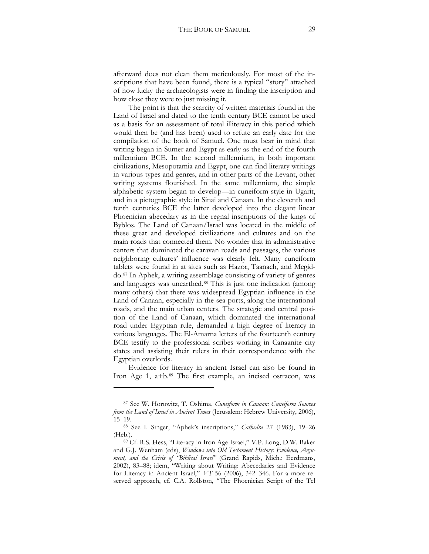afterward does not clean them meticulously. For most of the inscriptions that have been found, there is a typical "story" attached of how lucky the archaeologists were in finding the inscription and how close they were to just missing it.

The point is that the scarcity of written materials found in the Land of Israel and dated to the tenth century BCE cannot be used as a basis for an assessment of total illiteracy in this period which would then be (and has been) used to refute an early date for the compilation of the book of Samuel. One must bear in mind that writing began in Sumer and Egypt as early as the end of the fourth millennium BCE. In the second millennium, in both important civilizations, Mesopotamia and Egypt, one can find literary writings in various types and genres, and in other parts of the Levant, other writing systems flourished. In the same millennium, the simple alphabetic system began to develop—in cuneiform style in Ugarit, and in a pictographic style in Sinai and Canaan. In the eleventh and tenth centuries BCE the latter developed into the elegant linear Phoenician abecedary as in the regnal inscriptions of the kings of Byblos. The Land of Canaan/Israel was located in the middle of these great and developed civilizations and cultures and on the main roads that connected them. No wonder that in administrative centers that dominated the caravan roads and passages, the various neighboring cultures' influence was clearly felt. Many cuneiform tablets were found in at sites such as Hazor, Taanach, and Megiddo.[87](#page-28-0) In Aphek, a writing assemblage consisting of variety of genres and languages was unearthed.[88](#page-28-1) This is just one indication (among many others) that there was widespread Egyptian influence in the Land of Canaan, especially in the sea ports, along the international roads, and the main urban centers. The strategic and central position of the Land of Canaan, which dominated the international road under Egyptian rule, demanded a high degree of literacy in various languages. The El-Amarna letters of the fourteenth century BCE testify to the professional scribes working in Canaanite city states and assisting their rulers in their correspondence with the Egyptian overlords.

Evidence for literacy in ancient Israel can also be found in Iron Age 1, a+b.[89](#page-28-2) The first example, an incised ostracon, was

<span id="page-28-0"></span><sup>87</sup> See W. Horowitz, T. Oshima, *Cuneiform in Canaan: Cuneiform Sources from the Land of Israel in Ancient Times* (Jerusalem: Hebrew University, 2006), 15–19.

<span id="page-28-1"></span><sup>88</sup> See I. Singer, "Aphek's inscriptions," *Cathedra* 27 (1983), 19–26 (Heb.).

<span id="page-28-2"></span><sup>89</sup> Cf. R.S. Hess, "Literacy in Iron Age Israel," V.P. Long, D.W. Baker and G.J. Wenham (eds), *Windows into Old Testament History*: *Evidence, Argument, and the Crisis of "Biblical Israel"* (Grand Rapids, Mich.: Eerdmans, 2002), 83-88; idem, "Writing about Writing: Abecedaries and Evidence for Literacy in Ancient Israel," *VT* 56 (2006), 342–346. For a more reserved approach, cf. C.A. Rollston, "The Phoenician Script of the Tel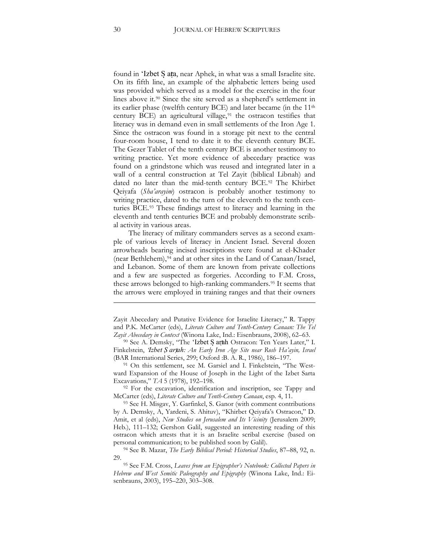found in 'Izbet S ata, near Aphek, in what was a small Israelite site. On its fifth line, an example of the alphabetic letters being used was provided which served as a model for the exercise in the four lines above it[.90](#page-29-0) Since the site served as a shepherd's settlement in its earlier phase (twelfth century BCE) and later became (in the 11th century BCE) an agricultural village, $91$  the ostracon testifies that literacy was in demand even in small settlements of the Iron Age 1. Since the ostracon was found in a storage pit next to the central four-room house, I tend to date it to the eleventh century BCE. The Gezer Tablet of the tenth century BCE is another testimony to writing practice. Yet more evidence of abecedary practice was found on a grindstone which was reused and integrated later in a wall of a central construction at Tel Zayit (biblical Libnah) and dated no later than the mid-tenth century BCE.[92](#page-29-2) The Khirbet Qeiyafa (*Sha'arayim*) ostracon is probably another testimony to writing practice, dated to the turn of the eleventh to the tenth centuries BCE.[93](#page-29-3) These findings attest to literacy and learning in the eleventh and tenth centuries BCE and probably demonstrate scribal activity in various areas.

The literacy of military commanders serves as a second example of various levels of literacy in Ancient Israel. Several dozen arrowheads bearing incised inscriptions were found at el-Khader (near Bethlehem),<sup>[94](#page-29-4)</sup> and at other sites in the Land of Canaan/Israel, and Lebanon. Some of them are known from private collections and a few are suspected as forgeries. According to F.M. Cross, these arrows belonged to high-ranking commanders.[95](#page-29-5) It seems that the arrows were employed in training ranges and that their owners

-

Zayit Abecedary and Putative Evidence for Israelite Literacy," R. Tappy and P.K. McCarter (eds), *Literate Culture and Tenth-Century Canaan: The Tel Zayit Abecedary in Context* (Winona Lake, Ind.: Eisenbrauns, 2008), 62–63.

<span id="page-29-0"></span><sup>90</sup> See A. Demsky, "The 'Izbet S arth Ostracon: Ten Years Later," I. Finkelstein, *'Izbet S artah: An Early Iron Age Site near Rosh Ha'ayin, Israel* (BAR International Series, 299; Oxford :B. A. R., 1986), 186–197.

<span id="page-29-1"></span><sup>91</sup> On this settlement, see M. Garsiel and I. Finkelstein, "The Westward Expansion of the House of Joseph in the Light of the Izbet Sarta Excavations," *TA* 5 (1978), 192–198.

<span id="page-29-2"></span><sup>&</sup>lt;sup>92</sup> For the excavation, identification and inscription, see Tappy and McCarter (eds), *Literate Culture and Tenth-Century Canaan*, esp. 4, 11.

<span id="page-29-3"></span><sup>93</sup> See H. Misgav, Y. Garfinkel, S. Ganor (with comment contributions by A. Demsky, A, Yardeni, S. Ahituv), "Khirbet Qeiyafa's Ostracon," D. Amit, et al (eds), *New Studies on Jerusalem and Its Vicinity* (Jerusalem 2009; Heb.), 111-132; Gershon Galil, suggested an interesting reading of this ostracon which attests that it is an Israelite scribal exercise (based on personal communication; to be published soon by Galil).

<span id="page-29-4"></span><sup>94</sup> See B. Mazar, *The Early Biblical Period: Historical Studies*, 87–88, 92, n. 29.

<span id="page-29-5"></span><sup>95</sup> See F.M. Cross, *Leaves from an Epigrapher's Notebook: Collected Papers in Hebrew and West Semitic Paleography and Epigraphy* (Winona Lake, Ind.: Eisenbrauns, 2003), 195–220, 303–308.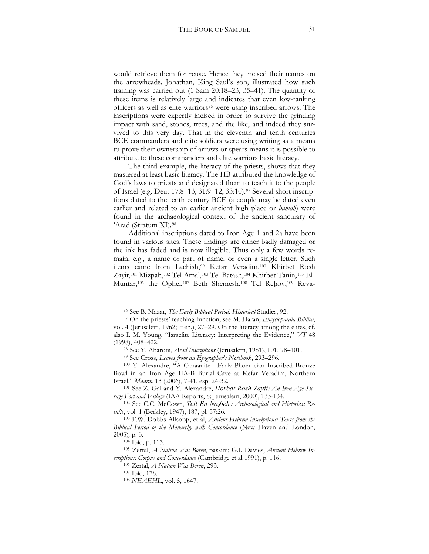would retrieve them for reuse. Hence they incised their names on the arrowheads. Jonathan, King Saul's son, illustrated how such training was carried out (1 Sam 20:18–23, 35–41). The quantity of these items is relatively large and indicates that even low-ranking officers as well as elite warriors<sup>[96](#page-30-0)</sup> were using inscribed arrows. The inscriptions were expertly incised in order to survive the grinding impact with sand, stones, trees, and the like, and indeed they survived to this very day. That in the eleventh and tenth centuries BCE commanders and elite soldiers were using writing as a means to prove their ownership of arrows or spears means it is possible to attribute to these commanders and elite warriors basic literacy.

The third example, the literacy of the priests, shows that they mastered at least basic literacy. The HB attributed the knowledge of God's laws to priests and designated them to teach it to the people of Israel (e.g. Deut 17:8–13; 31:9–12; 33:10).<sup>[97](#page-30-1)</sup> Several short inscriptions dated to the tenth century BCE (a couple may be dated even earlier and related to an earlier ancient high place or *bamah*) were found in the archaeological context of the ancient sanctuary of 'Arad (Stratum XI).[98](#page-30-2)

Additional inscriptions dated to Iron Age 1 and 2a have been found in various sites. These findings are either badly damaged or the ink has faded and is now illegible. Thus only a few words remain, e.g., a name or part of name, or even a single letter. Such items came from Lachish,[99](#page-30-3) Kefar Veradim,[100](#page-30-4) Khirbet Rosh Zayit,[101](#page-30-5) Mizpah,[102](#page-30-6) Tel Amal,[103](#page-30-7) Tel Batash,[104](#page-30-8) Khirbet Tanin,[105](#page-30-9) El-Muntar,<sup>[106](#page-30-10)</sup> the Ophel,<sup>[107](#page-30-11)</sup> Beth Shemesh,<sup>[108](#page-30-12)</sup> Tel Rehov,<sup>[109](#page-30-13)</sup> Reva-

<sup>96</sup> See B. Mazar, *The Early Biblical Period: Historical* Studies, 92.

<span id="page-30-13"></span><span id="page-30-1"></span><span id="page-30-0"></span><sup>97</sup> On the priests' teaching function, see M. Haran, *Encyclopaedia Biblica*, vol. 4 (Jerusalem, 1962; Heb.), 27–29. On the literacy among the elites, cf. also I. M. Young, "Israelite Literacy: Interpreting the Evidence," *VT* 48 (1998), 408–422.

<sup>98</sup> See Y. Aharoni, *Arad Inscriptions* (Jerusalem, 1981), 101, 98–101.

<sup>99</sup> See Cross, *Leaves from an Epigrapher's Notebook*, 293–296.

<span id="page-30-4"></span><span id="page-30-3"></span><span id="page-30-2"></span><sup>100</sup> Y. Alexandre, "A Canaanite—Early Phoenician Inscribed Bronze Bowl in an Iron Age IIA-B Burial Cave at Kefar Veradim, Northern Israel," *Maarav* 13 (2006), 7-41, esp. 24-32.

<span id="page-30-5"></span><sup>&</sup>lt;sup>101</sup> See Z. Gal and Y. Alexandre, *Horbat Rosh Zayit: An Iron Age Sto*rage Fort and Village (IAA Reports, 8; Jerusalem, 2000), 133-134.

<sup>&</sup>lt;sup>102</sup> See C.C. McCown, *Tell En Nasbeh : Archaeological and Historical Results*, vol. 1 (Berkley, 1947), 187, pl. 57:26.

<span id="page-30-7"></span><span id="page-30-6"></span><sup>103</sup> F.W. Dobbs-Allsopp, et al, *Ancient Hebrew Inscriptions: Texts from the Biblical Period of the Monarchy with Concordance* (New Haven and London, 2005)*,* p. 3.

<sup>104</sup> Ibid, p. 113.

<span id="page-30-12"></span><span id="page-30-11"></span><span id="page-30-10"></span><span id="page-30-9"></span><span id="page-30-8"></span><sup>&</sup>lt;sup>105</sup> Zertal, *A Nation Was Boren*, passim; G.I. Davies, *Ancient Hebrew Inscriptions: Corpus and Concordance* (Cambridge et al 1991), p. 116.

<sup>106</sup> Zertal, *A Nation Was Boren*, 293.

<sup>107</sup> Ibid, 178.

<sup>108</sup> *NEAEHL*, vol. 5, 1647.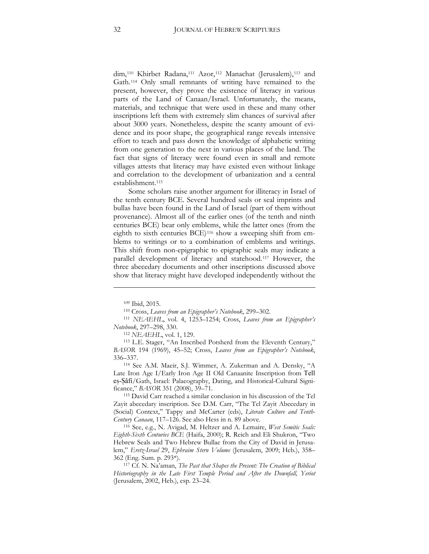dim,<sup>[110](#page-31-0)</sup> Khirbet Radana,<sup>[111](#page-31-1)</sup> Azor,<sup>[112](#page-31-2)</sup> Manachat (Jerusalem),<sup>[113](#page-31-3)</sup> and Gath.[114](#page-31-4) Only small remnants of writing have remained to the present, however, they prove the existence of literacy in various parts of the Land of Canaan/Israel. Unfortunately, the means, materials, and technique that were used in these and many other inscriptions left them with extremely slim chances of survival after about 3000 years. Nonetheless, despite the scanty amount of evidence and its poor shape, the geographical range reveals intensive effort to teach and pass down the knowledge of alphabetic writing from one generation to the next in various places of the land. The fact that signs of literacy were found even in small and remote villages attests that literacy may have existed even without linkage and correlation to the development of urbanization and a central establishment.[115](#page-31-5)

Some scholars raise another argument for illiteracy in Israel of the tenth century BCE. Several hundred seals or seal imprints and bullas have been found in the Land of Israel (part of them without provenance). Almost all of the earlier ones (of the tenth and ninth centuries BCE) bear only emblems, while the latter ones (from the eighth to sixth centuries BCE)[116](#page-31-6) show a sweeping shift from emblems to writings or to a combination of emblems and writings. This shift from non-epigraphic to epigraphic seals may indicate a parallel development of literacy and statehood.[117](#page-31-7) However, the three abecedary documents and other inscriptions discussed above show that literacy might have developed independently without the

<u>.</u>

<sup>112</sup> *NEAEHL*, vol. 1, 129.

<span id="page-31-3"></span><span id="page-31-2"></span><sup>113</sup> L.E. Stager, "An Inscribed Potsherd from the Eleventh Century," BASOR 194 (1969), 45-52; Cross, *Leaves from an Epigrapher's Notebook*, 336–337.

<span id="page-31-4"></span><sup>114</sup> See A.M. Maeir, S.J. Wimmer, A. Zukerman and A. Densky, "A Late Iron Age I/Early Iron Age II Old Canaanite Inscription from Tell, es-Sâfi/Gath, Israel: Palaeography, Dating, and Historical-Cultural Significance," *BASOR* 351 (2008), 39–71. 115 David Carr reached a similar conclusion in his discussion of the Tel

<span id="page-31-5"></span>Zayit abecedary inscription. See D.M. Carr, "The Tel Zayit Abecedary in (Social) Context," Tappy and McCarter (eds), *Literate Culture and Tenth-Century Canaan*, 117–126. See also Hess in n. 89 above.

<span id="page-31-6"></span><sup>116</sup> See, e.g., N. Avigad, M. Heltzer and A. Lemaire, *West Semitic Seals: Eighth-Sixth Centuries BCE* (Haifa, 2000); R. Reich and Eli Shukron, "Two Hebrew Seals and Two Hebrew Bullae from the City of David in Jerusalem," *Eretz-Israel 29*, *Ephraim Stern Volume* (Jerusalem, 2009; Heb.), 358–

<span id="page-31-7"></span>362 (Eng. Sum. p. 293\*). 117 Cf. N. Na'aman, *The Past that Shapes the Present: The Creation of Biblical Historiography in the Late First Temple Period and After the Downfall, Yeriot* (Jerusalem, 2002, Heb.), esp. 23–24.

<sup>109</sup> Ibid, 2015.

<sup>110</sup> Cross, *Leaves from an Epigrapher's Notebook*, 299–302.

<span id="page-31-1"></span><span id="page-31-0"></span><sup>&</sup>lt;sup>111</sup> *NEAEHL*, vol. 4, 1253-1254; Cross, *Leaves from an Epigrapher's Notebook*, 297–298, 330.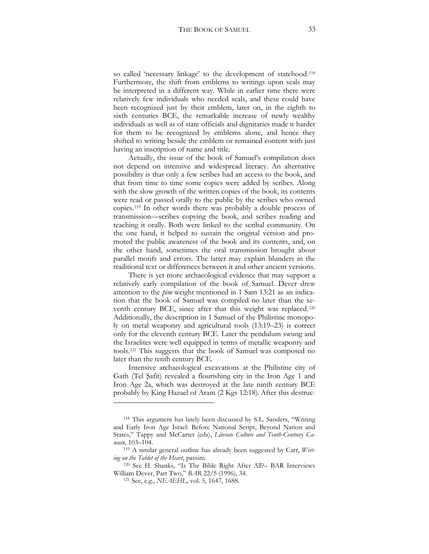so called 'necessary linkage' to the development of statehood.[118](#page-32-0) Furthermore, the shift from emblems to writings upon seals may be interpreted in a different way. While in earlier time there were relatively few individuals who needed seals, and these could have been recognized just by their emblem, later on, in the eighth to sixth centuries BCE, the remarkable increase of newly wealthy individuals as well as of state officials and dignitaries made it harder for them to be recognized by emblems alone, and hence they shifted to writing beside the emblem or remained content with just having an inscription of name and title.

Actually, the issue of the book of Samuel's compilation does not depend on intensive and widespread literacy. An alternative possibility is that only a few scribes had an access to the book, and that from time to time some copies were added by scribes. Along with the slow growth of the written copies of the book, its contents were read or passed orally to the public by the scribes who owned copies.[119](#page-32-1) In other words there was probably a double process of transmission—scribes copying the book, and scribes reading and teaching it orally. Both were linked to the scribal community. On the one hand, it helped to sustain the original version and promoted the public awareness of the book and its contents, and, on the other hand, sometimes the oral transmission brought about parallel motifs and errors. The latter may explain blunders in the traditional text or differences between it and other ancient versions.

There is yet more archaeological evidence that may support a relatively early compilation of the book of Samuel. Dever drew attention to the *pim* weight mentioned in 1 Sam 13:21 as an indication that the book of Samuel was compiled no later than the seventh century BCE, since after that this weight was replaced.[120](#page-32-2) Additionally, the description in 1 Samuel of the Philistine monopoly on metal weaponry and agricultural tools (13:19–23) is correct only for the eleventh century BCE. Later the pendulum swung and the Israelites were well equipped in terms of metallic weaponry and tools.[121](#page-32-3) This suggests that the book of Samuel was composed no later than the tenth century BCE.

Intensive archaeological excavations at the Philistine city of Gath (Tel Safit) revealed a flourishing city in the Iron Age 1 and Iron Age 2a, which was destroyed at the late ninth century BCE probably by King Hazael of Aram (2 Kgs 12:18).After this destruc-

<span id="page-32-0"></span><sup>118</sup> This argument has lately been discussed by S.L. Sanders, "Writing and Early Iron Age Israel: Before National Script, Beyond Nation and States," Tappy and McCarter (eds), *Literate Culture and Tenth-Centtury Canaan*, 103–104.

<span id="page-32-1"></span><sup>119</sup> A similar general outline has already been suggested by Carr, *Writing on the Tablet of the Heart*, passim.

<span id="page-32-3"></span><span id="page-32-2"></span><sup>120</sup> See H. Shanks, "Is The Bible Right After All?– BAR Interviews William Dever, Part Two," *BAR* 22/5 (1996), 34.

<sup>121</sup> See, e.g., *NEAEHL*, vol. 5, 1647, 1688.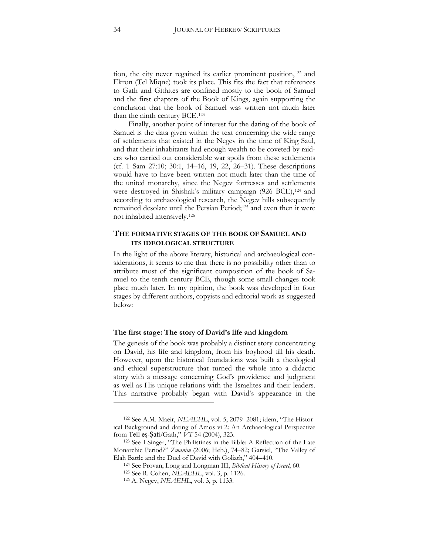tion, the city never regained its earlier prominent position,<sup>[122](#page-33-0)</sup> and Ekron (Tel Miqne) took its place. This fits the fact that references to Gath and Githites are confined mostly to the book of Samuel and the first chapters of the Book of Kings, again supporting the conclusion that the book of Samuel was written not much later than the ninth century BCE.[123](#page-33-1)

Finally, another point of interest for the dating of the book of Samuel is the data given within the text concerning the wide range of settlements that existed in the Negev in the time of King Saul, and that their inhabitants had enough wealth to be coveted by raiders who carried out considerable war spoils from these settlements (cf. 1 Sam 27:10; 30:1, 14–16, 19, 22, 26–31). These descriptions would have to have been written not much later than the time of the united monarchy, since the Negev fortresses and settlements were destroyed in Shishak's military campaign (926 BCE),<sup>[124](#page-33-2)</sup> and according to archaeological research, the Negev hills subsequently remained desolate until the Persian Period;<sup>125</sup> and even then it were not inhabited intensively.[126](#page-33-4)

## **THE FORMATIVE STAGES OF THE BOOK OF SAMUEL AND ITS IDEOLOGICAL STRUCTURE**

In the light of the above literary, historical and archaeological considerations, it seems to me that there is no possibility other than to attribute most of the significant composition of the book of Samuel to the tenth century BCE, though some small changes took place much later. In my opinion, the book was developed in four stages by different authors, copyists and editorial work as suggested below:

#### **The first stage: The story of David's life and kingdom**

The genesis of the book was probably a distinct story concentrating on David, his life and kingdom, from his boyhood till his death. However, upon the historical foundations was built a theological and ethical superstructure that turned the whole into a didactic story with a message concerning God's providence and judgment as well as His unique relations with the Israelites and their leaders. This narrative probably began with David's appearance in the

<span id="page-33-0"></span><sup>&</sup>lt;sup>122</sup> See A.M. Maeir, *NEAEHL*, vol. 5, 2079–2081; idem, "The Historical Background and dating of Amos vi 2: An Archaeological Perspective from Tell es-Safi/Gath,"  $VT$  54 (2004), 323.

<span id="page-33-4"></span><span id="page-33-3"></span><span id="page-33-2"></span><span id="page-33-1"></span><sup>&</sup>lt;sup>123</sup> See I Singer, "The Philistines in the Bible: A Reflection of the Late Monarchic Period?" *Zmanim* (2006; Heb.), 74–82; Garsiel, "The Valley of Elah Battle and the Duel of David with Goliath," 404–410.

<sup>124</sup> See Provan, Long and Longman III, *Biblical History of Israel*, 60.

<sup>125</sup> See R. Cohen, *NEAEHL*, vol. 3, p. 1126.

<sup>126</sup> A. Negev, *NEAEHL*, vol. 3, p. 1133.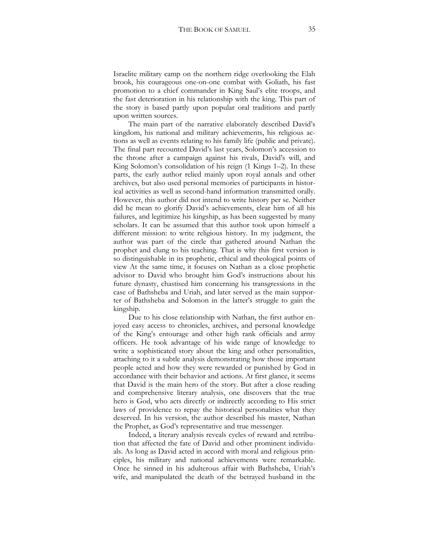Israelite military camp on the northern ridge overlooking the Elah brook, his courageous one-on-one combat with Goliath, his fast promotion to a chief commander in King Saul's elite troops, and the fast deterioration in his relationship with the king. This part of the story is based partly upon popular oral traditions and partly upon written sources.

The main part of the narrative elaborately described David's kingdom, his national and military achievements, his religious actions as well as events relating to his family life (public and private). The final part recounted David's last years, Solomon's accession to the throne after a campaign against his rivals, David's will, and King Solomon's consolidation of his reign (1 Kings 1–2). In these parts, the early author relied mainly upon royal annals and other archives, but also used personal memories of participants in historical activities as well as second-hand information transmitted orally. However, this author did not intend to write history per se. Neither did he mean to glorify David's achievements, clear him of all his failures, and legitimize his kingship, as has been suggested by many scholars. It can be assumed that this author took upon himself a different mission: to write religious history. In my judgment, the author was part of the circle that gathered around Nathan the prophet and clung to his teaching. That is why this first version is so distinguishable in its prophetic, ethical and theological points of view At the same time, it focuses on Nathan as a close prophetic advisor to David who brought him God's instructions about his future dynasty, chastised him concerning his transgressions in the case of Bathsheba and Uriah, and later served as the main supporter of Bathsheba and Solomon in the latter's struggle to gain the kingship.

Due to his close relationship with Nathan, the first author enjoyed easy access to chronicles, archives, and personal knowledge of the King's entourage and other high rank officials and army officers. He took advantage of his wide range of knowledge to write a sophisticated story about the king and other personalities, attaching to it a subtle analysis demonstrating how those important people acted and how they were rewarded or punished by God in accordance with their behavior and actions. At first glance, it seems that David is the main hero of the story. But after a close reading and comprehensive literary analysis, one discovers that the true hero is God, who acts directly or indirectly according to His strict laws of providence to repay the historical personalities what they deserved. In his version, the author described his master, Nathan the Prophet, as God's representative and true messenger.

Indeed, a literary analysis reveals cycles of reward and retribution that affected the fate of David and other prominent individuals. As long as David acted in accord with moral and religious principles, his military and national achievements were remarkable. Once he sinned in his adulterous affair with Bathsheba, Uriah's wife, and manipulated the death of the betrayed husband in the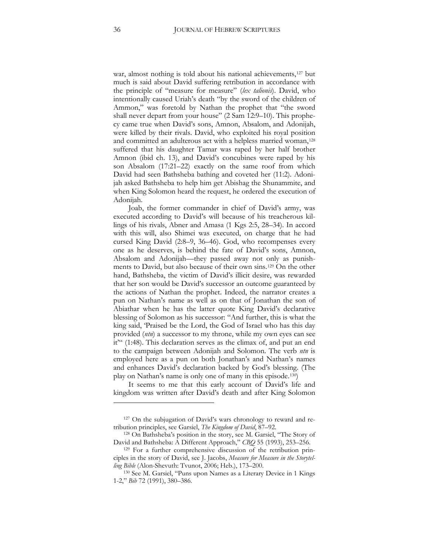war, almost nothing is told about his national achievements,<sup>[127](#page-35-0)</sup> but much is said about David suffering retribution in accordance with the principle of "measure for measure" (*lex talionis*). David, who intentionally caused Uriah's death "by the sword of the children of Ammon," was foretold by Nathan the prophet that "the sword shall never depart from your house" (2 Sam 12:9–10). This prophecy came true when David's sons, Amnon, Absalom, and Adonijah, were killed by their rivals. David, who exploited his royal position and committed an adulterous act with a helpless married woman,<sup>[128](#page-35-1)</sup> suffered that his daughter Tamar was raped by her half brother Amnon (ibid ch. 13), and David's concubines were raped by his son Absalom (17:21–22) exactly on the same roof from which David had seen Bathsheba bathing and coveted her (11:2). Adonijah asked Bathsheba to help him get Abishag the Shunammite, and when King Solomon heard the request, he ordered the execution of Adonijah.

Joab, the former commander in chief of David's army, was executed according to David's will because of his treacherous killings of his rivals, Abner and Amasa (1 Kgs 2:5, 28–34). In accord with this will, also Shimei was executed, on charge that he had cursed King David (2:8–9, 36–46). God, who recompenses every one as he deserves, is behind the fate of David's sons, Amnon, Absalom and Adonijah—they passed away not only as punishments to David, but also because of their own sins.[129](#page-35-2) On the other hand, Bathsheba, the victim of David's illicit desire, was rewarded that her son would be David's successor an outcome guaranteed by the actions of Nathan the prophet. Indeed, the narrator creates a pun on Nathan's name as well as on that of Jonathan the son of Abiathar when he has the latter quote King David's declarative blessing of Solomon as his successor: "And further, this is what the king said, 'Praised be the Lord, the God of Israel who has this day provided (*ntn*) a successor to my throne, while my own eyes can see it'" (1:48). This declaration serves as the climax of, and put an end to the campaign between Adonijah and Solomon. The verb *ntn* is employed here as a pun on both Jonathan's and Nathan's names and enhances David's declaration backed by God's blessing. (The play on Nathan's name is only one of many in this episode.[130\)](#page-35-3)

It seems to me that this early account of David's life and kingdom was written after David's death and after King Solomon

<span id="page-35-0"></span><sup>127</sup> On the subjugation of David's wars chronology to reward and retribution principles, see Garsiel, *The Kingdom of David*, 87–92.

<span id="page-35-1"></span><sup>128</sup> On Bathsheba's position in the story, see M. Garsiel, "The Story of David and Bathsheba: A Different Approach," *CBQ* 55 (1993), 253–256. <sup>129</sup> For a further comprehensive discussion of the retribution prin-

<span id="page-35-2"></span>ciples in the story of David, see J. Jacobs, *Measure for Measure in the Storytel*ling Bible (Alon-Shevuth: Tvunot, 2006; Heb.), 173–200.

<span id="page-35-3"></span><sup>130</sup> See M. Garsiel, "Puns upon Names as a Literary Device in 1 Kings 1-2," *Bib* 72 (1991), 380–386.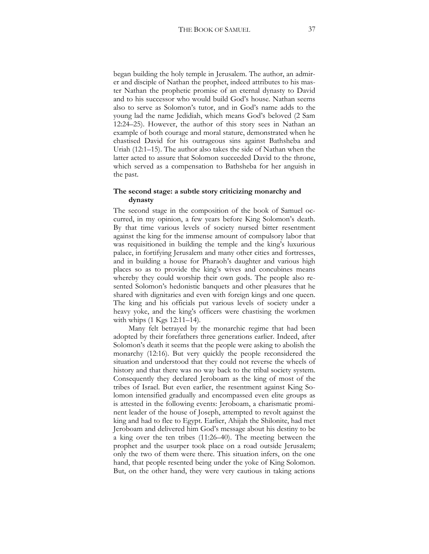began building the holy temple in Jerusalem. The author, an admirer and disciple of Nathan the prophet, indeed attributes to his master Nathan the prophetic promise of an eternal dynasty to David and to his successor who would build God's house. Nathan seems also to serve as Solomon's tutor, and in God's name adds to the young lad the name Jedidiah, which means God's beloved (2 Sam 12:24–25). However, the author of this story sees in Nathan an example of both courage and moral stature, demonstrated when he chastised David for his outrageous sins against Bathsheba and Uriah (12:1–15). The author also takes the side of Nathan when the latter acted to assure that Solomon succeeded David to the throne, which served as a compensation to Bathsheba for her anguish in the past.

#### **The second stage: a subtle story criticizing monarchy and dynasty**

The second stage in the composition of the book of Samuel occurred, in my opinion, a few years before King Solomon's death. By that time various levels of society nursed bitter resentment against the king for the immense amount of compulsory labor that was requisitioned in building the temple and the king's luxurious palace, in fortifying Jerusalem and many other cities and fortresses, and in building a house for Pharaoh's daughter and various high places so as to provide the king's wives and concubines means whereby they could worship their own gods. The people also resented Solomon's hedonistic banquets and other pleasures that he shared with dignitaries and even with foreign kings and one queen. The king and his officials put various levels of society under a heavy yoke, and the king's officers were chastising the workmen with whips (1 Kgs 12:11–14).

Many felt betrayed by the monarchic regime that had been adopted by their forefathers three generations earlier. Indeed, after Solomon's death it seems that the people were asking to abolish the monarchy (12:16). But very quickly the people reconsidered the situation and understood that they could not reverse the wheels of history and that there was no way back to the tribal society system. Consequently they declared Jeroboam as the king of most of the tribes of Israel. But even earlier, the resentment against King Solomon intensified gradually and encompassed even elite groups as is attested in the following events: Jeroboam, a charismatic prominent leader of the house of Joseph, attempted to revolt against the king and had to flee to Egypt. Earlier, Ahijah the Shilonite, had met Jeroboam and delivered him God's message about his destiny to be a king over the ten tribes (11:26–40). The meeting between the prophet and the usurper took place on a road outside Jerusalem; only the two of them were there. This situation infers, on the one hand, that people resented being under the yoke of King Solomon. But, on the other hand, they were very cautious in taking actions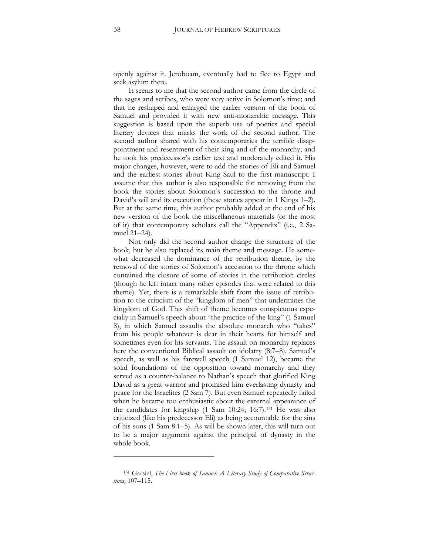openly against it. Jeroboam, eventually had to flee to Egypt and seek asylum there.

It seems to me that the second author came from the circle of the sages and scribes, who were very active in Solomon's time; and that he reshaped and enlarged the earlier version of the book of Samuel and provided it with new anti-monarchic message. This suggestion is based upon the superb use of poetics and special literary devices that marks the work of the second author. The second author shared with his contemporaries the terrible disappointment and resentment of their king and of the monarchy; and he took his predecessor's earlier text and moderately edited it. His major changes, however, were to add the stories of Eli and Samuel and the earliest stories about King Saul to the first manuscript. I assume that this author is also responsible for removing from the book the stories about Solomon's succession to the throne and David's will and its execution (these stories appear in 1 Kings 1–2). But at the same time, this author probably added at the end of his new version of the book the miscellaneous materials (or the most of it) that contemporary scholars call the "Appendix" (i.e., 2 Samuel 21–24).

Not only did the second author change the structure of the book, but he also replaced its main theme and message. He somewhat decreased the dominance of the retribution theme, by the removal of the stories of Solomon's accession to the throne which contained the closure of some of stories in the retribution circles (though he left intact many other episodes that were related to this theme). Yet, there is a remarkable shift from the issue of retribution to the criticism of the "kingdom of men" that undermines the kingdom of God. This shift of theme becomes conspicuous especially in Samuel's speech about "the practice of the king" (1 Samuel 8), in which Samuel assaults the absolute monarch who "takes" from his people whatever is dear in their hearts for himself and sometimes even for his servants. The assault on monarchy replaces here the conventional Biblical assault on idolatry (8:7–8). Samuel's speech, as well as his farewell speech (1 Samuel 12), became the solid foundations of the opposition toward monarchy and they served as a counter-balance to Nathan's speech that glorified King David as a great warrior and promised him everlasting dynasty and peace for the Israelites (2 Sam 7). But even Samuel repeatedly failed when he became too enthusiastic about the external appearance of the candidates for kingship (1 Sam 10:24; 16:7).<sup>[131](#page-37-0)</sup> He was also criticized (like his predecessor Eli) as being accountable for the sins of his sons (1 Sam 8:1–5). As will be shown later, this will turn out to be a major argument against the principal of dynasty in the whole book.

<span id="page-37-0"></span><sup>&</sup>lt;sup>131</sup> Garsiel, *The First book of Samuel: A Literary Study of Comparative Structures,* 107–115.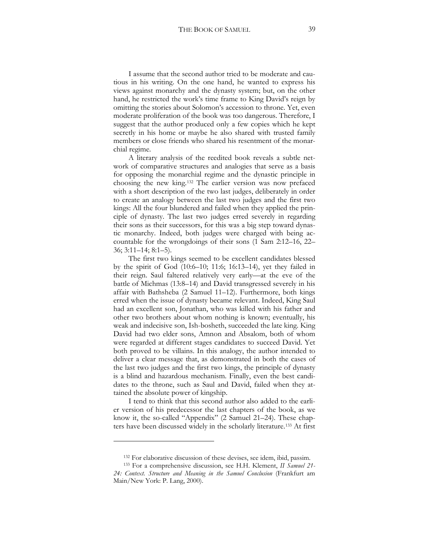I assume that the second author tried to be moderate and cautious in his writing. On the one hand, he wanted to express his views against monarchy and the dynasty system; but, on the other hand, he restricted the work's time frame to King David's reign by omitting the stories about Solomon's accession to throne. Yet, even moderate proliferation of the book was too dangerous. Therefore, I suggest that the author produced only a few copies which he kept secretly in his home or maybe he also shared with trusted family members or close friends who shared his resentment of the monarchial regime.

A literary analysis of the reedited book reveals a subtle network of comparative structures and analogies that serve as a basis for opposing the monarchial regime and the dynastic principle in choosing the new king.[132](#page-38-0) The earlier version was now prefaced with a short description of the two last judges, deliberately in order to create an analogy between the last two judges and the first two kings: All the four blundered and failed when they applied the principle of dynasty. The last two judges erred severely in regarding their sons as their successors, for this was a big step toward dynastic monarchy. Indeed, both judges were charged with being accountable for the wrongdoings of their sons (1 Sam 2:12–16, 22–  $36; 3:11-14; 8:1-5$ .

The first two kings seemed to be excellent candidates blessed by the spirit of God  $(10:6–10; 11:6; 16:13–14)$ , yet they failed in their reign. Saul faltered relatively very early—at the eve of the battle of Michmas (13:8–14) and David transgressed severely in his affair with Bathsheba (2 Samuel 11–12). Furthermore, both kings erred when the issue of dynasty became relevant. Indeed, King Saul had an excellent son, Jonathan, who was killed with his father and other two brothers about whom nothing is known; eventually, his weak and indecisive son, Ish-bosheth, succeeded the late king. King David had two elder sons, Amnon and Absalom, both of whom were regarded at different stages candidates to succeed David. Yet both proved to be villains. In this analogy, the author intended to deliver a clear message that, as demonstrated in both the cases of the last two judges and the first two kings, the principle of dynasty is a blind and hazardous mechanism. Finally, even the best candidates to the throne, such as Saul and David, failed when they attained the absolute power of kingship.

I tend to think that this second author also added to the earlier version of his predecessor the last chapters of the book, as we know it, the so-called "Appendix" (2 Samuel 21–24). These chapters have been discussed widely in the scholarly literature.[133](#page-38-1) At first

 $\ddot{\phantom{a}}$ 

<sup>132</sup> For elaborative discussion of these devises, see idem, ibid, passim.

<span id="page-38-1"></span><span id="page-38-0"></span><sup>133</sup> For a comprehensive discussion, see H.H. Klement, *II Samuel 21- 24: Context. Structure and Meaning in the Samuel Conclusion* (Frankfurt am Main/New York: P. Lang, 2000).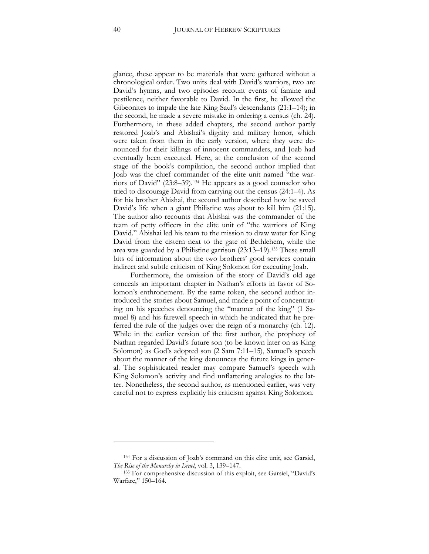glance, these appear to be materials that were gathered without a chronological order. Two units deal with David's warriors, two are David's hymns, and two episodes recount events of famine and pestilence, neither favorable to David. In the first, he allowed the Gibeonites to impale the late King Saul's descendants  $(21:1-14)$ ; in the second, he made a severe mistake in ordering a census (ch. 24). Furthermore, in these added chapters, the second author partly restored Joab's and Abishai's dignity and military honor, which were taken from them in the early version, where they were denounced for their killings of innocent commanders, and Joab had eventually been executed. Here, at the conclusion of the second stage of the book's compilation, the second author implied that Joab was the chief commander of the elite unit named "the warriors of David" (23:8–39).[134](#page-39-0) He appears as a good counselor who tried to discourage David from carrying out the census (24:1–4). As for his brother Abishai, the second author described how he saved David's life when a giant Philistine was about to kill him (21:15). The author also recounts that Abishai was the commander of the team of petty officers in the elite unit of "the warriors of King David." Abishai led his team to the mission to draw water for King David from the cistern next to the gate of Bethlehem, while the area was guarded by a Philistine garrison (23:13–19).[135](#page-39-1) These small bits of information about the two brothers' good services contain indirect and subtle criticism of King Solomon for executing Joab.

Furthermore, the omission of the story of David's old age conceals an important chapter in Nathan's efforts in favor of Solomon's enthronement. By the same token, the second author introduced the stories about Samuel, and made a point of concentrating on his speeches denouncing the "manner of the king" (1 Samuel 8) and his farewell speech in which he indicated that he preferred the rule of the judges over the reign of a monarchy (ch. 12). While in the earlier version of the first author, the prophecy of Nathan regarded David's future son (to be known later on as King Solomon) as God's adopted son (2 Sam 7:11–15), Samuel's speech about the manner of the king denounces the future kings in general. The sophisticated reader may compare Samuel's speech with King Solomon's activity and find unflattering analogies to the latter. Nonetheless, the second author, as mentioned earlier, was very careful not to express explicitly his criticism against King Solomon.

 $\ddot{\phantom{a}}$ 

<sup>134</sup> For a discussion of Joab's command on this elite unit, see Garsiel, *The Rise of the Monarchy in Israel*, vol. 3, 139–147.

<span id="page-39-1"></span><span id="page-39-0"></span><sup>135</sup> For comprehensive discussion of this exploit, see Garsiel, "David's Warfare," 150–164.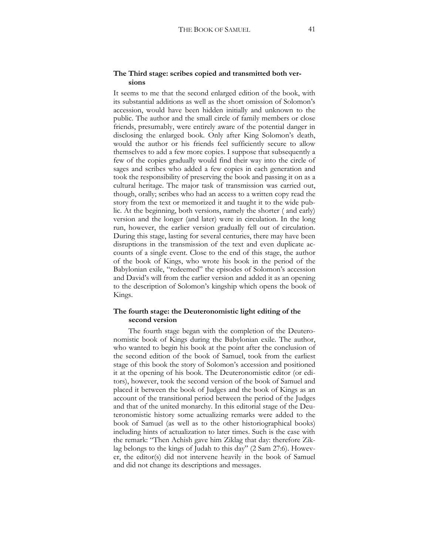#### **The Third stage: scribes copied and transmitted both versions**

It seems to me that the second enlarged edition of the book, with its substantial additions as well as the short omission of Solomon's accession, would have been hidden initially and unknown to the public. The author and the small circle of family members or close friends, presumably, were entirely aware of the potential danger in disclosing the enlarged book. Only after King Solomon's death, would the author or his friends feel sufficiently secure to allow themselves to add a few more copies. I suppose that subsequently a few of the copies gradually would find their way into the circle of sages and scribes who added a few copies in each generation and took the responsibility of preserving the book and passing it on as a cultural heritage. The major task of transmission was carried out, though, orally; scribes who had an access to a written copy read the story from the text or memorized it and taught it to the wide public. At the beginning, both versions, namely the shorter ( and early) version and the longer (and later) were in circulation. In the long run, however, the earlier version gradually fell out of circulation. During this stage, lasting for several centuries, there may have been disruptions in the transmission of the text and even duplicate accounts of a single event. Close to the end of this stage, the author of the book of Kings, who wrote his book in the period of the Babylonian exile, "redeemed" the episodes of Solomon's accession and David's will from the earlier version and added it as an opening to the description of Solomon's kingship which opens the book of Kings.

### **The fourth stage: the Deuteronomistic light editing of the second version**

The fourth stage began with the completion of the Deuteronomistic book of Kings during the Babylonian exile. The author, who wanted to begin his book at the point after the conclusion of the second edition of the book of Samuel, took from the earliest stage of this book the story of Solomon's accession and positioned it at the opening of his book. The Deuteronomistic editor (or editors), however, took the second version of the book of Samuel and placed it between the book of Judges and the book of Kings as an account of the transitional period between the period of the Judges and that of the united monarchy. In this editorial stage of the Deuteronomistic history some actualizing remarks were added to the book of Samuel (as well as to the other historiographical books) including hints of actualization to later times. Such is the case with the remark: "Then Achish gave him Ziklag that day: therefore Ziklag belongs to the kings of Judah to this day" (2 Sam 27:6). However, the editor(s) did not intervene heavily in the book of Samuel and did not change its descriptions and messages.